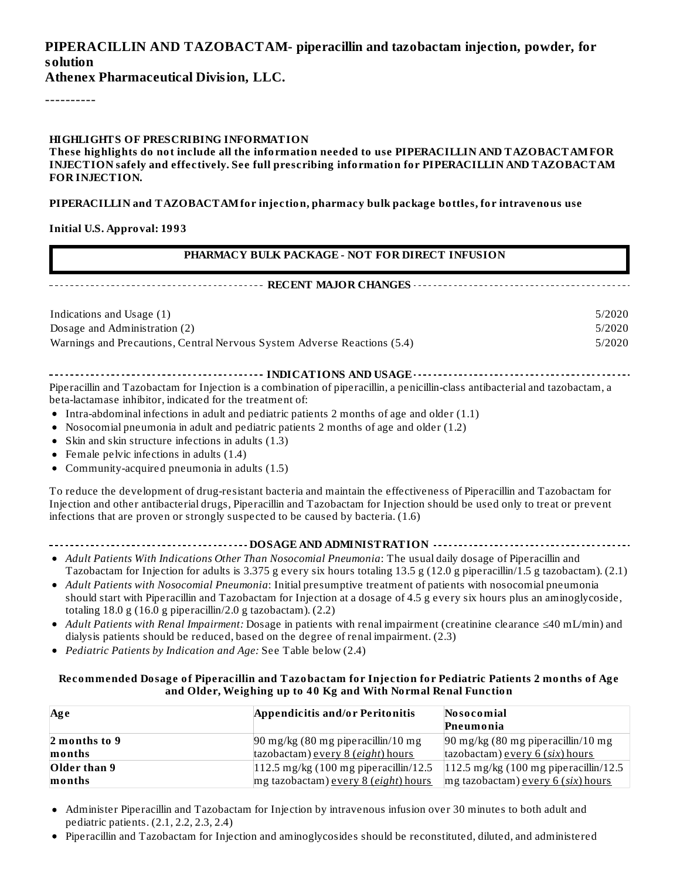### **PIPERACILLIN AND TAZOBACTAM- piperacillin and tazobactam injection, powder, for solution**

**Athenex Pharmaceutical Division, LLC.**

----------

#### **HIGHLIGHTS OF PRESCRIBING INFORMATION**

**These highlights do not include all the information needed to use PIPERACILLIN AND TAZOBACTAMFOR INJECTION safely and effectively. See full prescribing information for PIPERACILLIN AND TAZOBACTAM FOR INJECTION.**

**PIPERACILLIN and TAZOBACTAMfor injection, pharmacy bulk package bottles, for intravenous use**

#### **Initial U.S. Approval: 1993**

| PHARMACY BULK PACKAGE - NOT FOR DIRECT INFUSION                                                                                                                                                                                                                                                                                                                                                                                                                                                                                                       |        |  |  |  |  |
|-------------------------------------------------------------------------------------------------------------------------------------------------------------------------------------------------------------------------------------------------------------------------------------------------------------------------------------------------------------------------------------------------------------------------------------------------------------------------------------------------------------------------------------------------------|--------|--|--|--|--|
| ------------------ RECENT MAJOR CHANGES --                                                                                                                                                                                                                                                                                                                                                                                                                                                                                                            |        |  |  |  |  |
| Indications and Usage (1)                                                                                                                                                                                                                                                                                                                                                                                                                                                                                                                             | 5/2020 |  |  |  |  |
| Dosage and Administration (2)                                                                                                                                                                                                                                                                                                                                                                                                                                                                                                                         | 5/2020 |  |  |  |  |
| Warnings and Precautions, Central Nervous System Adverse Reactions (5.4)                                                                                                                                                                                                                                                                                                                                                                                                                                                                              | 5/2020 |  |  |  |  |
| Piperacillin and Tazobactam for Injection is a combination of piperacillin, a penicillin-class antibacterial and tazobactam, a<br>beta-lactamase inhibitor, indicated for the treatment of:<br>• Intra-abdominal infections in adult and pediatric patients 2 months of age and older $(1.1)$<br>• Nosocomial pneumonia in adult and pediatric patients 2 months of age and older $(1.2)$<br>• Skin and skin structure infections in adults (1.3)<br>• Female pelvic infections in adults $(1.4)$<br>• Community-acquired pneumonia in adults $(1.5)$ |        |  |  |  |  |
| To reduce the development of drug-resistant bacteria and maintain the effectiveness of Piperacillin and Tazobactam for<br>Injection and other antibacterial drugs, Piperacillin and Tazobactam for Injection should be used only to treat or prevent<br>infections that are proven or strongly suspected to be caused by bacteria. (1.6)                                                                                                                                                                                                              |        |  |  |  |  |

- *Adult Patients With Indications Other Than Nosocomial Pneumonia*: The usual daily dosage of Piperacillin and Tazobactam for Injection for adults is 3.375 g every six hours totaling 13.5 g (12.0 g piperacillin/1.5 g tazobactam). (2.1)
- *Adult Patients with Nosocomial Pneumonia*: Initial presumptive treatment of patients with nosocomial pneumonia should start with Piperacillin and Tazobactam for Injection at a dosage of 4.5 g every six hours plus an aminoglycoside, totaling 18.0 g (16.0 g piperacillin/2.0 g tazobactam). (2.2)
- *Adult Patients with Renal Impairment:* Dosage in patients with renal impairment (creatinine clearance ≤40 mL/min) and dialysis patients should be reduced, based on the degree of renal impairment. (2.3)
- *Pediatric Patients by Indication and Age:* See Table below (2.4)

#### **Recommended Dosage of Piperacillin and Tazobactam for Injection for Pediatric Patients 2 months of Age and Older, Weighing up to 40 Kg and With Normal Renal Function**

| Ag e                            | Appendicitis and/or Peritonitis                                             | Nosocomial                                                                      |  |
|---------------------------------|-----------------------------------------------------------------------------|---------------------------------------------------------------------------------|--|
|                                 |                                                                             | Pneumonia                                                                       |  |
| $\vert$ 2 months to 9<br>months | $90$ mg/kg $(80$ mg piperacillin/10 mg<br>tazobactam) every 8 (eight) hours | $90 \text{ mg/kg}$ (80 mg piperacillin/10 mg<br>tazobactam) every 6 (six) hours |  |
| Older than 9                    | $ 112.5 \text{ mg/kg}$ (100 mg piperacillin/12.5)                           | $ 112.5 \text{ mg/kg}$ (100 mg piperacillin/12.5                                |  |
| months                          | mg tazobactam) every 8 (eight) hours                                        | $mg$ tazobactam) every 6 (six) hours                                            |  |

- Administer Piperacillin and Tazobactam for Injection by intravenous infusion over 30 minutes to both adult and  $\bullet$ pediatric patients. (2.1, 2.2, 2.3, 2.4)
- Piperacillin and Tazobactam for Injection and aminoglycosides should be reconstituted, diluted, and administered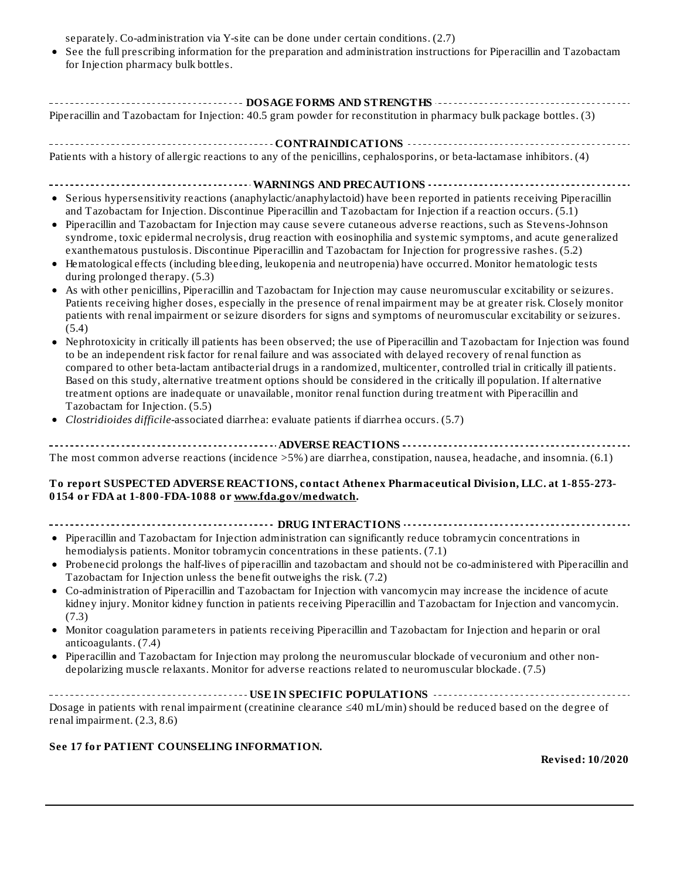separately. Co-administration via Y-site can be done under certain conditions. (2.7)

See the full prescribing information for the preparation and administration instructions for Piperacillin and Tazobactam for Injection pharmacy bulk bottles.

| ------------------------------------ DOSAGE FORMS AND STRENGTHS -------------                                                                                                                                                                                                                                                                                                                                                                                                                                                                                                                                                                                                                                                                                                                                                                                                                                                                                                                                                                                                                                                                                                                                                                                                                                                                                                                                                                                                                                                                                                                                                                                                                                                                                                                                                                                                                                                     |
|-----------------------------------------------------------------------------------------------------------------------------------------------------------------------------------------------------------------------------------------------------------------------------------------------------------------------------------------------------------------------------------------------------------------------------------------------------------------------------------------------------------------------------------------------------------------------------------------------------------------------------------------------------------------------------------------------------------------------------------------------------------------------------------------------------------------------------------------------------------------------------------------------------------------------------------------------------------------------------------------------------------------------------------------------------------------------------------------------------------------------------------------------------------------------------------------------------------------------------------------------------------------------------------------------------------------------------------------------------------------------------------------------------------------------------------------------------------------------------------------------------------------------------------------------------------------------------------------------------------------------------------------------------------------------------------------------------------------------------------------------------------------------------------------------------------------------------------------------------------------------------------------------------------------------------------|
| Piperacillin and Tazobactam for Injection: 40.5 gram powder for reconstitution in pharmacy bulk package bottles. (3)                                                                                                                                                                                                                                                                                                                                                                                                                                                                                                                                                                                                                                                                                                                                                                                                                                                                                                                                                                                                                                                                                                                                                                                                                                                                                                                                                                                                                                                                                                                                                                                                                                                                                                                                                                                                              |
|                                                                                                                                                                                                                                                                                                                                                                                                                                                                                                                                                                                                                                                                                                                                                                                                                                                                                                                                                                                                                                                                                                                                                                                                                                                                                                                                                                                                                                                                                                                                                                                                                                                                                                                                                                                                                                                                                                                                   |
| Patients with a history of allergic reactions to any of the penicillins, cephalosporins, or beta-lactamase inhibitors. (4)                                                                                                                                                                                                                                                                                                                                                                                                                                                                                                                                                                                                                                                                                                                                                                                                                                                                                                                                                                                                                                                                                                                                                                                                                                                                                                                                                                                                                                                                                                                                                                                                                                                                                                                                                                                                        |
|                                                                                                                                                                                                                                                                                                                                                                                                                                                                                                                                                                                                                                                                                                                                                                                                                                                                                                                                                                                                                                                                                                                                                                                                                                                                                                                                                                                                                                                                                                                                                                                                                                                                                                                                                                                                                                                                                                                                   |
| • Serious hypersensitivity reactions (anaphylactic/anaphylactoid) have been reported in patients receiving Piperacillin<br>and Tazobactam for Injection. Discontinue Piperacillin and Tazobactam for Injection if a reaction occurs. (5.1)<br>Piperacillin and Tazobactam for Injection may cause severe cutaneous adverse reactions, such as Stevens-Johnson<br>$\bullet$<br>syndrome, toxic epidermal necrolysis, drug reaction with eosinophilia and systemic symptoms, and acute generalized<br>exanthematous pustulosis. Discontinue Piperacillin and Tazobactam for Injection for progressive rashes. (5.2)<br>• Hematological effects (including bleeding, leukopenia and neutropenia) have occurred. Monitor hematologic tests<br>during prolonged therapy. (5.3)<br>As with other penicillins, Piperacillin and Tazobactam for Injection may cause neuromuscular excitability or seizures.<br>Patients receiving higher doses, especially in the presence of renal impairment may be at greater risk. Closely monitor<br>patients with renal impairment or seizure disorders for signs and symptoms of neuromuscular excitability or seizures.<br>(5.4)<br>Nephrotoxicity in critically ill patients has been observed; the use of Piperacillin and Tazobactam for Injection was found<br>to be an independent risk factor for renal failure and was associated with delayed recovery of renal function as<br>compared to other beta-lactam antibacterial drugs in a randomized, multicenter, controlled trial in critically ill patients.<br>Based on this study, alternative treatment options should be considered in the critically ill population. If alternative<br>treatment options are inadequate or unavailable, monitor renal function during treatment with Piperacillin and<br>Tazobactam for Injection. (5.5)<br>Clostridioides difficile-associated diarrhea: evaluate patients if diarrhea occurs. (5.7) |
| The most common adverse reactions (incidence >5%) are diarrhea, constipation, nausea, headache, and insomnia. (6.1)                                                                                                                                                                                                                                                                                                                                                                                                                                                                                                                                                                                                                                                                                                                                                                                                                                                                                                                                                                                                                                                                                                                                                                                                                                                                                                                                                                                                                                                                                                                                                                                                                                                                                                                                                                                                               |
| To report SUSPECTED ADVERSE REACTIONS, contact Athenex Pharmaceutical Division, LLC. at 1-855-273-<br>0154 or FDA at 1-800-FDA-1088 or www.fda.gov/medwatch.                                                                                                                                                                                                                                                                                                                                                                                                                                                                                                                                                                                                                                                                                                                                                                                                                                                                                                                                                                                                                                                                                                                                                                                                                                                                                                                                                                                                                                                                                                                                                                                                                                                                                                                                                                      |
|                                                                                                                                                                                                                                                                                                                                                                                                                                                                                                                                                                                                                                                                                                                                                                                                                                                                                                                                                                                                                                                                                                                                                                                                                                                                                                                                                                                                                                                                                                                                                                                                                                                                                                                                                                                                                                                                                                                                   |
| • Piperacillin and Tazobactam for Injection administration can significantly reduce tobramycin concentrations in<br>hemodialysis patients. Monitor tobramycin concentrations in these patients. (7.1)<br>• Probenecid prolongs the half-lives of piperacillin and tazobactam and should not be co-administered with Piperacillin and                                                                                                                                                                                                                                                                                                                                                                                                                                                                                                                                                                                                                                                                                                                                                                                                                                                                                                                                                                                                                                                                                                                                                                                                                                                                                                                                                                                                                                                                                                                                                                                              |
| Tazobactam for Injection unless the benefit outweighs the risk. (7.2)<br>Co-administration of Piperacillin and Tazobactam for Injection with vancomycin may increase the incidence of acute<br>kidney injury. Monitor kidney function in patients receiving Piperacillin and Tazobactam for Injection and vancomycin.<br>(7.3)                                                                                                                                                                                                                                                                                                                                                                                                                                                                                                                                                                                                                                                                                                                                                                                                                                                                                                                                                                                                                                                                                                                                                                                                                                                                                                                                                                                                                                                                                                                                                                                                    |
| Monitor coagulation parameters in patients receiving Piperacillin and Tazobactam for Injection and heparin or oral<br>anticoagulants. (7.4)                                                                                                                                                                                                                                                                                                                                                                                                                                                                                                                                                                                                                                                                                                                                                                                                                                                                                                                                                                                                                                                                                                                                                                                                                                                                                                                                                                                                                                                                                                                                                                                                                                                                                                                                                                                       |
| • Piperacillin and Tazobactam for Injection may prolong the neuromuscular blockade of vecuronium and other non-<br>depolarizing muscle relaxants. Monitor for adverse reactions related to neuromuscular blockade. (7.5)                                                                                                                                                                                                                                                                                                                                                                                                                                                                                                                                                                                                                                                                                                                                                                                                                                                                                                                                                                                                                                                                                                                                                                                                                                                                                                                                                                                                                                                                                                                                                                                                                                                                                                          |
|                                                                                                                                                                                                                                                                                                                                                                                                                                                                                                                                                                                                                                                                                                                                                                                                                                                                                                                                                                                                                                                                                                                                                                                                                                                                                                                                                                                                                                                                                                                                                                                                                                                                                                                                                                                                                                                                                                                                   |
| Dosage in patients with renal impairment (creatinine clearance ≤40 mL/min) should be reduced based on the degree of<br>renal impairment. (2.3, 8.6)                                                                                                                                                                                                                                                                                                                                                                                                                                                                                                                                                                                                                                                                                                                                                                                                                                                                                                                                                                                                                                                                                                                                                                                                                                                                                                                                                                                                                                                                                                                                                                                                                                                                                                                                                                               |

#### **See 17 for PATIENT COUNSELING INFORMATION.**

**Revised: 10/2020**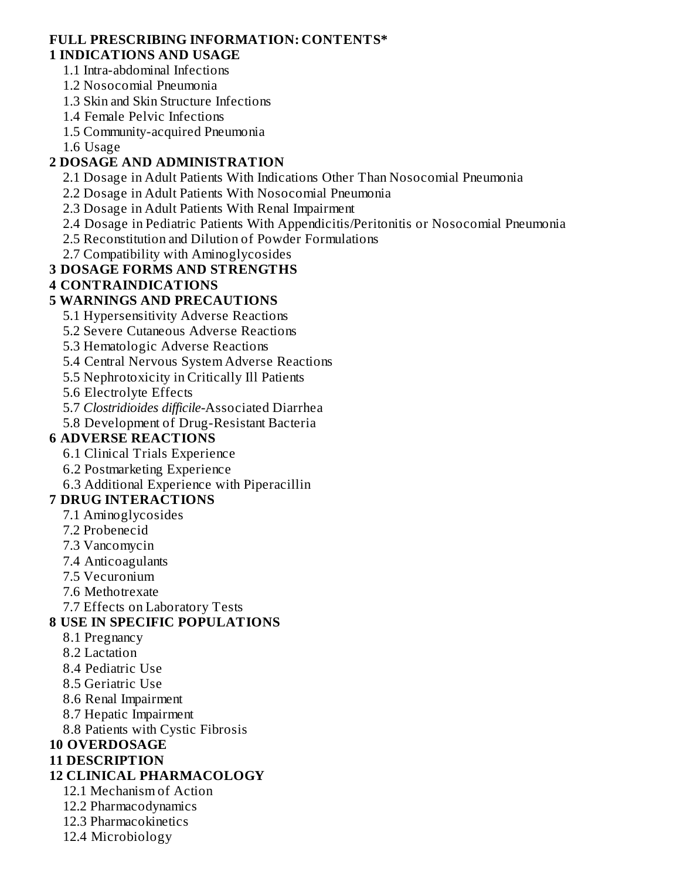#### **FULL PRESCRIBING INFORMATION: CONTENTS\* 1 INDICATIONS AND USAGE**

- 1.1 Intra-abdominal Infections
- 1.2 Nosocomial Pneumonia
- 1.3 Skin and Skin Structure Infections
- 1.4 Female Pelvic Infections
- 1.5 Community-acquired Pneumonia
- 1.6 Usage

# **2 DOSAGE AND ADMINISTRATION**

- 2.1 Dosage in Adult Patients With Indications Other Than Nosocomial Pneumonia
- 2.2 Dosage in Adult Patients With Nosocomial Pneumonia
- 2.3 Dosage in Adult Patients With Renal Impairment
- 2.4 Dosage in Pediatric Patients With Appendicitis/Peritonitis or Nosocomial Pneumonia
- 2.5 Reconstitution and Dilution of Powder Formulations
- 2.7 Compatibility with Aminoglycosides

# **3 DOSAGE FORMS AND STRENGTHS**

# **4 CONTRAINDICATIONS**

### **5 WARNINGS AND PRECAUTIONS**

- 5.1 Hypersensitivity Adverse Reactions
- 5.2 Severe Cutaneous Adverse Reactions
- 5.3 Hematologic Adverse Reactions
- 5.4 Central Nervous System Adverse Reactions
- 5.5 Nephrotoxicity in Critically Ill Patients
- 5.6 Electrolyte Effects
- 5.7 *Clostridioides difficile-*Associated Diarrhea
- 5.8 Development of Drug-Resistant Bacteria

# **6 ADVERSE REACTIONS**

- 6.1 Clinical Trials Experience
- 6.2 Postmarketing Experience
- 6.3 Additional Experience with Piperacillin

# **7 DRUG INTERACTIONS**

- 7.1 Aminoglycosides
- 7.2 Probenecid
- 7.3 Vancomycin
- 7.4 Anticoagulants
- 7.5 Vecuronium
- 7.6 Methotrexate
- 7.7 Effects on Laboratory Tests

# **8 USE IN SPECIFIC POPULATIONS**

- 8.1 Pregnancy
- 8.2 Lactation
- 8.4 Pediatric Use
- 8.5 Geriatric Use
- 8.6 Renal Impairment
- 8.7 Hepatic Impairment
- 8.8 Patients with Cystic Fibrosis

# **10 OVERDOSAGE**

# **11 DESCRIPTION**

# **12 CLINICAL PHARMACOLOGY**

- 12.1 Mechanism of Action
- 12.2 Pharmacodynamics
- 12.3 Pharmacokinetics
- 12.4 Microbiology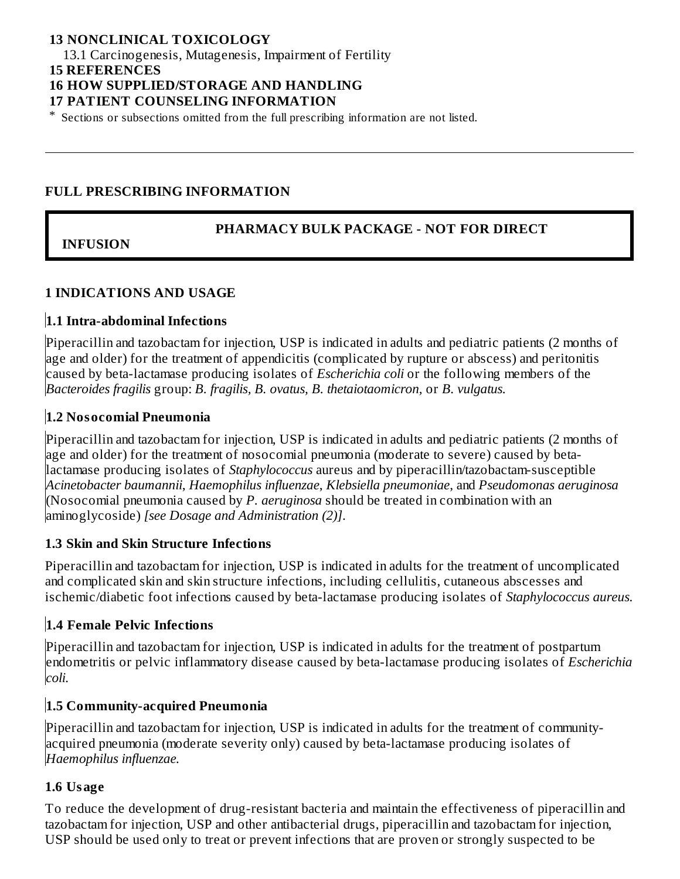### **13 NONCLINICAL TOXICOLOGY**

13.1 Carcinogenesis, Mutagenesis, Impairment of Fertility

#### **15 REFERENCES**

### **16 HOW SUPPLIED/STORAGE AND HANDLING**

#### **17 PATIENT COUNSELING INFORMATION**

\* Sections or subsections omitted from the full prescribing information are not listed.

### **FULL PRESCRIBING INFORMATION**

### **PHARMACY BULK PACKAGE - NOT FOR DIRECT**

# **INFUSION**

### **1 INDICATIONS AND USAGE**

### **1.1 Intra-abdominal Infections**

Piperacillin and tazobactam for injection, USP is indicated in adults and pediatric patients (2 months of age and older) for the treatment of appendicitis (complicated by rupture or abscess) and peritonitis caused by beta-lactamase producing isolates of *Escherichia coli* or the following members of the *Bacteroides fragilis* group: *B. fragilis, B. ovatus, B. thetaiotaomicron,* or *B. vulgatus.*

### **1.2 Nosocomial Pneumonia**

Piperacillin and tazobactam for injection, USP is indicated in adults and pediatric patients (2 months of age and older) for the treatment of nosocomial pneumonia (moderate to severe) caused by betalactamase producing isolates of *Staphylococcus* aureus and by piperacillin/tazobactam-susceptible *Acinetobacter baumannii*, *Haemophilus influenzae*, *Klebsiella pneumoniae*, and *Pseudomonas aeruginosa* (Nosocomial pneumonia caused by *P. aeruginosa* should be treated in combination with an aminoglycoside) *[see Dosage and Administration (2)]*.

### **1.3 Skin and Skin Structure Infections**

Piperacillin and tazobactam for injection, USP is indicated in adults for the treatment of uncomplicated and complicated skin and skin structure infections, including cellulitis, cutaneous abscesses and ischemic/diabetic foot infections caused by beta-lactamase producing isolates of *Staphylococcus aureus.*

# **1.4 Female Pelvic Infections**

Piperacillin and tazobactam for injection, USP is indicated in adults for the treatment of postpartum endometritis or pelvic inflammatory disease caused by beta-lactamase producing isolates of *Escherichia coli.*

### **1.5 Community-acquired Pneumonia**

Piperacillin and tazobactam for injection, USP is indicated in adults for the treatment of communityacquired pneumonia (moderate severity only) caused by beta-lactamase producing isolates of *Haemophilus influenzae.*

### **1.6 Usage**

To reduce the development of drug-resistant bacteria and maintain the effectiveness of piperacillin and tazobactam for injection, USP and other antibacterial drugs, piperacillin and tazobactam for injection, USP should be used only to treat or prevent infections that are proven or strongly suspected to be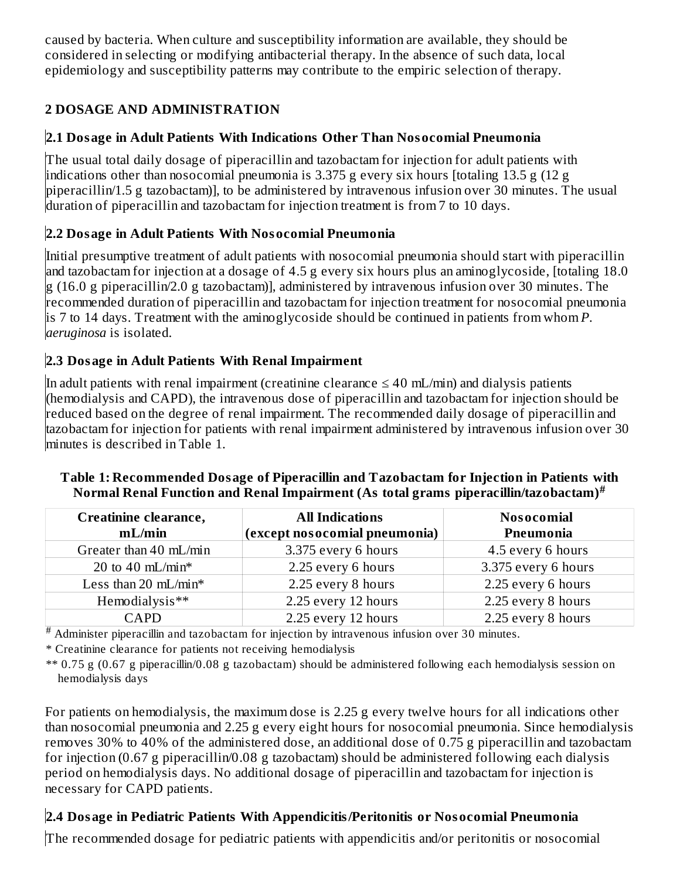caused by bacteria. When culture and susceptibility information are available, they should be considered in selecting or modifying antibacterial therapy. In the absence of such data, local epidemiology and susceptibility patterns may contribute to the empiric selection of therapy.

# **2 DOSAGE AND ADMINISTRATION**

# **2.1 Dosage in Adult Patients With Indications Other Than Nosocomial Pneumonia**

The usual total daily dosage of piperacillin and tazobactam for injection for adult patients with indications other than nosocomial pneumonia is 3.375 g every six hours [totaling 13.5 g (12 g piperacillin/1.5 g tazobactam)], to be administered by intravenous infusion over 30 minutes. The usual duration of piperacillin and tazobactam for injection treatment is from 7 to 10 days.

# **2.2 Dosage in Adult Patients With Nosocomial Pneumonia**

Initial presumptive treatment of adult patients with nosocomial pneumonia should start with piperacillin and tazobactam for injection at a dosage of 4.5 g every six hours plus an aminoglycoside, [totaling 18.0 g (16.0 g piperacillin/2.0 g tazobactam)], administered by intravenous infusion over 30 minutes. The recommended duration of piperacillin and tazobactam for injection treatment for nosocomial pneumonia is 7 to 14 days. Treatment with the aminoglycoside should be continued in patients from whom *P. aeruginosa* is isolated.

# **2.3 Dosage in Adult Patients With Renal Impairment**

In adult patients with renal impairment (creatinine clearance  $\leq 40$  mL/min) and dialysis patients (hemodialysis and CAPD), the intravenous dose of piperacillin and tazobactam for injection should be reduced based on the degree of renal impairment. The recommended daily dosage of piperacillin and tazobactam for injection for patients with renal impairment administered by intravenous infusion over 30 minutes is described in Table 1.

| Creatinine clearance,<br>mL/min | <b>All Indications</b><br>(except nosocomial pneumonia) | <b>Nosocomial</b><br>Pneumonia |  |
|---------------------------------|---------------------------------------------------------|--------------------------------|--|
| Greater than 40 mL/min          | 3.375 every 6 hours                                     | 4.5 every 6 hours              |  |
| 20 to 40 mL/min*                | 2.25 every 6 hours                                      | 3.375 every 6 hours            |  |
| Less than 20 $mL/min*$          | 2.25 every 8 hours                                      | 2.25 every 6 hours             |  |
| Hemodialysis**                  | 2.25 every 12 hours                                     | 2.25 every 8 hours             |  |
| CAPD                            | 2.25 every 12 hours                                     | 2.25 every 8 hours             |  |

# **Table 1: Recommended Dosage of Piperacillin and Tazobactam for Injection in Patients with Normal Renal Function and Renal Impairment (As total grams piperacillin/tazobactam) #**

Administer piperacillin and tazobactam for injection by intravenous infusion over 30 minutes. #

\* Creatinine clearance for patients not receiving hemodialysis

\*\* 0.75 g (0.67 g piperacillin/0.08 g tazobactam) should be administered following each hemodialysis session on hemodialysis days

For patients on hemodialysis, the maximum dose is 2.25 g every twelve hours for all indications other than nosocomial pneumonia and 2.25 g every eight hours for nosocomial pneumonia. Since hemodialysis removes 30% to 40% of the administered dose, an additional dose of 0.75 g piperacillin and tazobactam for injection (0.67 g piperacillin/0.08 g tazobactam) should be administered following each dialysis period on hemodialysis days. No additional dosage of piperacillin and tazobactam for injection is necessary for CAPD patients.

# **2.4 Dosage in Pediatric Patients With Appendicitis/Peritonitis or Nosocomial Pneumonia**

The recommended dosage for pediatric patients with appendicitis and/or peritonitis or nosocomial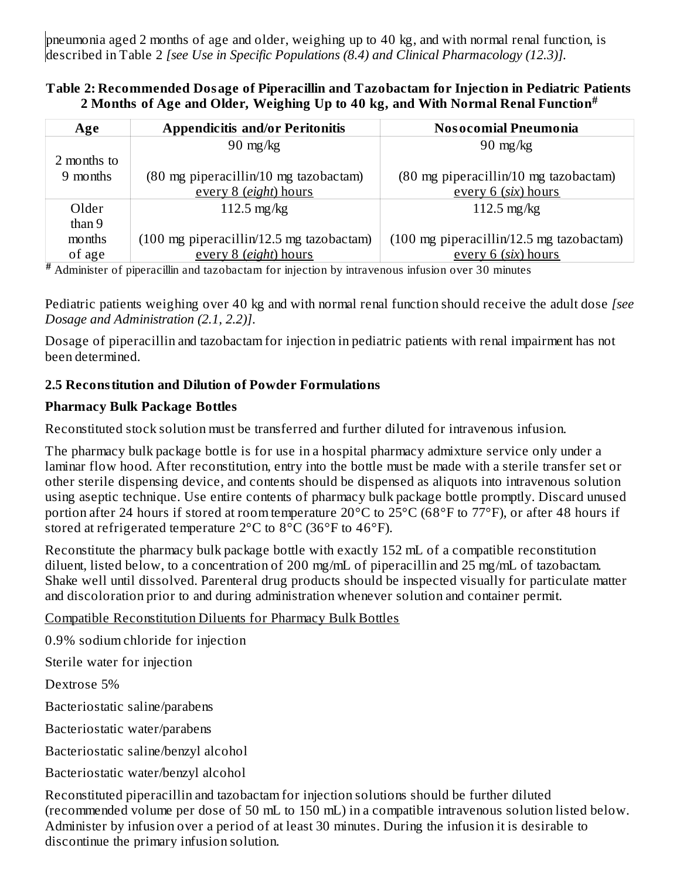pneumonia aged 2 months of age and older, weighing up to 40 kg, and with normal renal function, is described in Table 2 *[see Use in Specific Populations (8.4) and Clinical Pharmacology (12.3)].*

### **Table 2: Recommended Dosage of Piperacillin and Tazobactam for Injection in Pediatric Patients 2 Months of Age and Older, Weighing Up to 40 kg, and With Normal Renal Function #**

| Age         | <b>Appendicitis and/or Peritonitis</b>                     | <b>Nosocomial Pneumonia</b>                                |
|-------------|------------------------------------------------------------|------------------------------------------------------------|
|             | $90 \text{ mg/kg}$                                         | $90 \text{ mg/kg}$                                         |
| 2 months to |                                                            |                                                            |
| 9 months    | (80 mg piperacillin/10 mg tazobactam)                      | (80 mg piperacillin/10 mg tazobactam)                      |
|             | every 8 (eight) hours                                      | every 6 (six) hours                                        |
| Older       | $112.5$ mg/kg                                              | $112.5 \text{ mg/kg}$                                      |
| than 9      |                                                            |                                                            |
| months      | $(100 \text{ mg piperacillin}/12.5 \text{ mg taxobactam})$ | $(100 \text{ mg piperacillin}/12.5 \text{ mg taxobactam})$ |
| of age      | every 8 (eight) hours                                      | every 6 (six) hours                                        |

Administer of piperacillin and tazobactam for injection by intravenous infusion over 30 minutes **#**

Pediatric patients weighing over 40 kg and with normal renal function should receive the adult dose *[see Dosage and Administration (2.1, 2.2)]*.

Dosage of piperacillin and tazobactam for injection in pediatric patients with renal impairment has not been determined.

# **2.5 Reconstitution and Dilution of Powder Formulations**

### **Pharmacy Bulk Package Bottles**

Reconstituted stock solution must be transferred and further diluted for intravenous infusion.

The pharmacy bulk package bottle is for use in a hospital pharmacy admixture service only under a laminar flow hood. After reconstitution, entry into the bottle must be made with a sterile transfer set or other sterile dispensing device, and contents should be dispensed as aliquots into intravenous solution using aseptic technique. Use entire contents of pharmacy bulk package bottle promptly. Discard unused portion after 24 hours if stored at room temperature 20°C to 25°C (68°F to 77°F), or after 48 hours if stored at refrigerated temperature  $2^{\circ}$ C to  $8^{\circ}$ C (36 $^{\circ}$ F to 46 $^{\circ}$ F).

Reconstitute the pharmacy bulk package bottle with exactly 152 mL of a compatible reconstitution diluent, listed below, to a concentration of 200 mg/mL of piperacillin and 25 mg/mL of tazobactam. Shake well until dissolved. Parenteral drug products should be inspected visually for particulate matter and discoloration prior to and during administration whenever solution and container permit.

# Compatible Reconstitution Diluents for Pharmacy Bulk Bottles

0.9% sodium chloride for injection

Sterile water for injection

Dextrose 5%

Bacteriostatic saline/parabens

Bacteriostatic water/parabens

Bacteriostatic saline/benzyl alcohol

Bacteriostatic water/benzyl alcohol

Reconstituted piperacillin and tazobactam for injection solutions should be further diluted (recommended volume per dose of 50 mL to 150 mL) in a compatible intravenous solution listed below. Administer by infusion over a period of at least 30 minutes. During the infusion it is desirable to discontinue the primary infusion solution.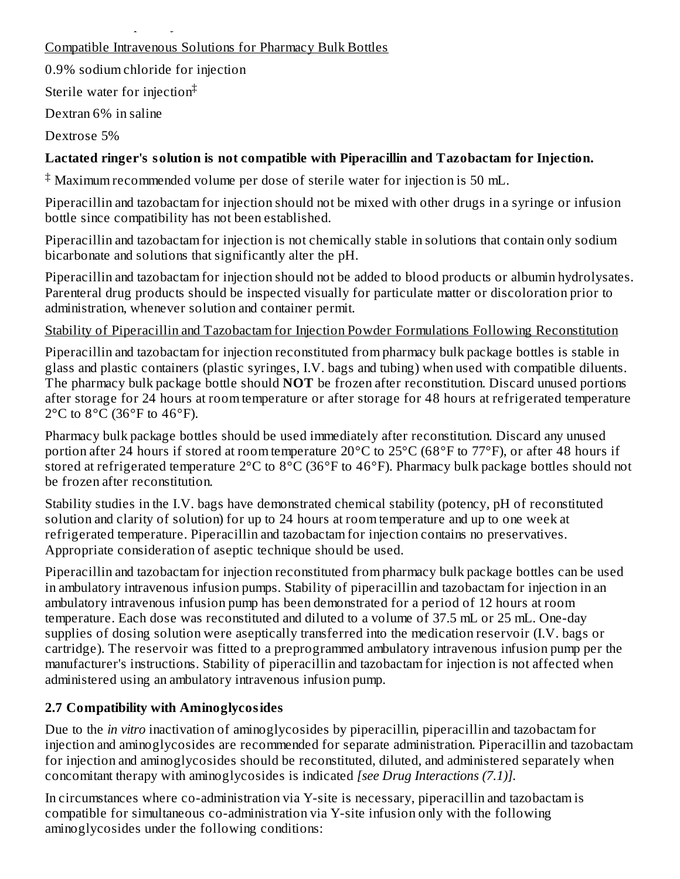# Compatible Intravenous Solutions for Pharmacy Bulk Bottles

0.9% sodium chloride for injection

discontinue the primary infusion solution.

Sterile water for injection ‡

Dextran 6% in saline

Dextrose 5%

# **Lactated ringer's solution is not compatible with Piperacillin and Tazobactam for Injection.**

 $^\ddag$  Maximum recommended volume per dose of sterile water for injection is 50 mL.

Piperacillin and tazobactam for injection should not be mixed with other drugs in a syringe or infusion bottle since compatibility has not been established.

Piperacillin and tazobactam for injection is not chemically stable in solutions that contain only sodium bicarbonate and solutions that significantly alter the pH.

Piperacillin and tazobactam for injection should not be added to blood products or albumin hydrolysates. Parenteral drug products should be inspected visually for particulate matter or discoloration prior to administration, whenever solution and container permit.

# Stability of Piperacillin and Tazobactam for Injection Powder Formulations Following Reconstitution

Piperacillin and tazobactam for injection reconstituted from pharmacy bulk package bottles is stable in glass and plastic containers (plastic syringes, I.V. bags and tubing) when used with compatible diluents. The pharmacy bulk package bottle should **NOT** be frozen after reconstitution. Discard unused portions after storage for 24 hours at room temperature or after storage for 48 hours at refrigerated temperature  $2^{\circ}$ C to  $8^{\circ}$ C (36 $^{\circ}$ F to 46 $^{\circ}$ F).

Pharmacy bulk package bottles should be used immediately after reconstitution. Discard any unused portion after 24 hours if stored at room temperature 20°C to 25°C (68°F to 77°F), or after 48 hours if stored at refrigerated temperature 2°C to 8°C (36°F to 46°F). Pharmacy bulk package bottles should not be frozen after reconstitution.

Stability studies in the I.V. bags have demonstrated chemical stability (potency, pH of reconstituted solution and clarity of solution) for up to 24 hours at room temperature and up to one week at refrigerated temperature. Piperacillin and tazobactam for injection contains no preservatives. Appropriate consideration of aseptic technique should be used.

Piperacillin and tazobactam for injection reconstituted from pharmacy bulk package bottles can be used in ambulatory intravenous infusion pumps. Stability of piperacillin and tazobactam for injection in an ambulatory intravenous infusion pump has been demonstrated for a period of 12 hours at room temperature. Each dose was reconstituted and diluted to a volume of 37.5 mL or 25 mL. One-day supplies of dosing solution were aseptically transferred into the medication reservoir (I.V. bags or cartridge). The reservoir was fitted to a preprogrammed ambulatory intravenous infusion pump per the manufacturer's instructions. Stability of piperacillin and tazobactam for injection is not affected when administered using an ambulatory intravenous infusion pump.

# **2.7 Compatibility with Aminoglycosides**

Due to the *in vitro* inactivation of aminoglycosides by piperacillin, piperacillin and tazobactam for injection and aminoglycosides are recommended for separate administration. Piperacillin and tazobactam for injection and aminoglycosides should be reconstituted, diluted, and administered separately when concomitant therapy with aminoglycosides is indicated *[see Drug Interactions (7.1)].*

In circumstances where co-administration via Y-site is necessary, piperacillin and tazobactam is compatible for simultaneous co-administration via Y-site infusion only with the following aminoglycosides under the following conditions: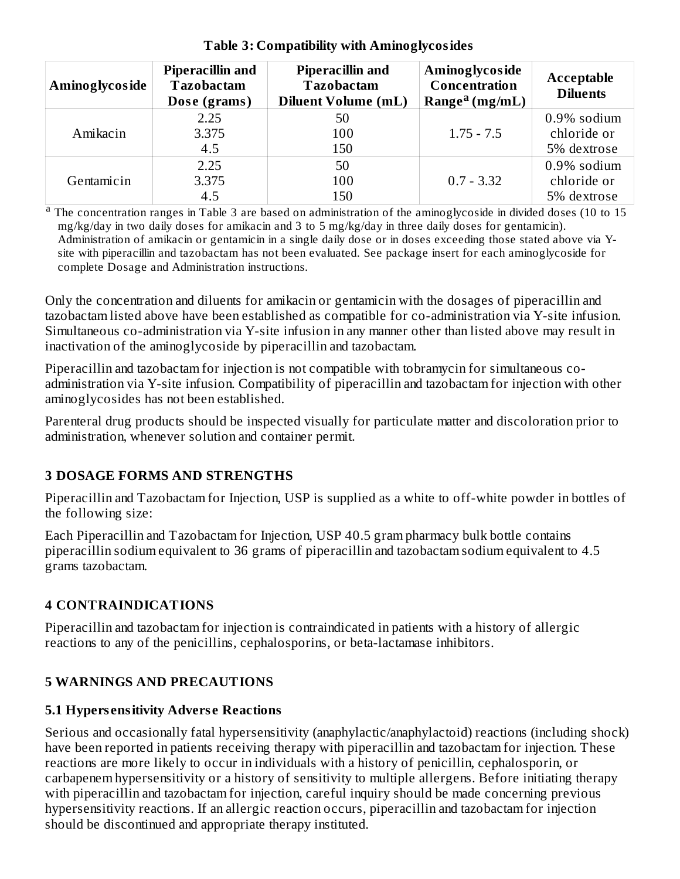| Aminoglycoside | <b>Piperacillin and</b><br><b>Tazobactam</b><br>Dose (grams) | <b>Piperacillin and</b><br><b>Tazobactam</b><br><b>Diluent Volume (mL)</b> | Aminoglycoside<br>Concentration<br>Range <sup>a</sup> (mg/mL) | Acceptable<br><b>Diluents</b>             |
|----------------|--------------------------------------------------------------|----------------------------------------------------------------------------|---------------------------------------------------------------|-------------------------------------------|
| Amikacin       | 2.25<br>3.375<br>4.5                                         | 50<br>100<br>150                                                           | $1.75 - 7.5$                                                  | 0.9% sodium<br>chloride or<br>5% dextrose |
| Gentamicin     | 2.25<br>3.375                                                | 50<br>100                                                                  | $0.7 - 3.32$                                                  | $0.9\%$ sodium<br>chloride or             |
|                | 4.5                                                          | 150                                                                        |                                                               | 5% dextrose                               |

### **Table 3: Compatibility with Aminoglycosides**

<sup>a</sup> The concentration ranges in Table 3 are based on administration of the aminoglycoside in divided doses (10 to 15 mg/kg/day in two daily doses for amikacin and 3 to 5 mg/kg/day in three daily doses for gentamicin). Administration of amikacin or gentamicin in a single daily dose or in doses exceeding those stated above via Ysite with piperacillin and tazobactam has not been evaluated. See package insert for each aminoglycoside for complete Dosage and Administration instructions.

Only the concentration and diluents for amikacin or gentamicin with the dosages of piperacillin and tazobactam listed above have been established as compatible for co-administration via Y-site infusion. Simultaneous co-administration via Y-site infusion in any manner other than listed above may result in inactivation of the aminoglycoside by piperacillin and tazobactam.

Piperacillin and tazobactam for injection is not compatible with tobramycin for simultaneous coadministration via Y-site infusion. Compatibility of piperacillin and tazobactam for injection with other aminoglycosides has not been established.

Parenteral drug products should be inspected visually for particulate matter and discoloration prior to administration, whenever solution and container permit.

# **3 DOSAGE FORMS AND STRENGTHS**

Piperacillin and Tazobactam for Injection, USP is supplied as a white to off-white powder in bottles of the following size:

Each Piperacillin and Tazobactam for Injection, USP 40.5 gram pharmacy bulk bottle contains piperacillin sodium equivalent to 36 grams of piperacillin and tazobactam sodium equivalent to 4.5 grams tazobactam.

# **4 CONTRAINDICATIONS**

Piperacillin and tazobactam for injection is contraindicated in patients with a history of allergic reactions to any of the penicillins, cephalosporins, or beta-lactamase inhibitors.

# **5 WARNINGS AND PRECAUTIONS**

# **5.1 Hypers ensitivity Advers e Reactions**

Serious and occasionally fatal hypersensitivity (anaphylactic/anaphylactoid) reactions (including shock) have been reported in patients receiving therapy with piperacillin and tazobactam for injection. These reactions are more likely to occur in individuals with a history of penicillin, cephalosporin, or carbapenem hypersensitivity or a history of sensitivity to multiple allergens. Before initiating therapy with piperacillin and tazobactam for injection, careful inquiry should be made concerning previous hypersensitivity reactions. If an allergic reaction occurs, piperacillin and tazobactam for injection should be discontinued and appropriate therapy instituted.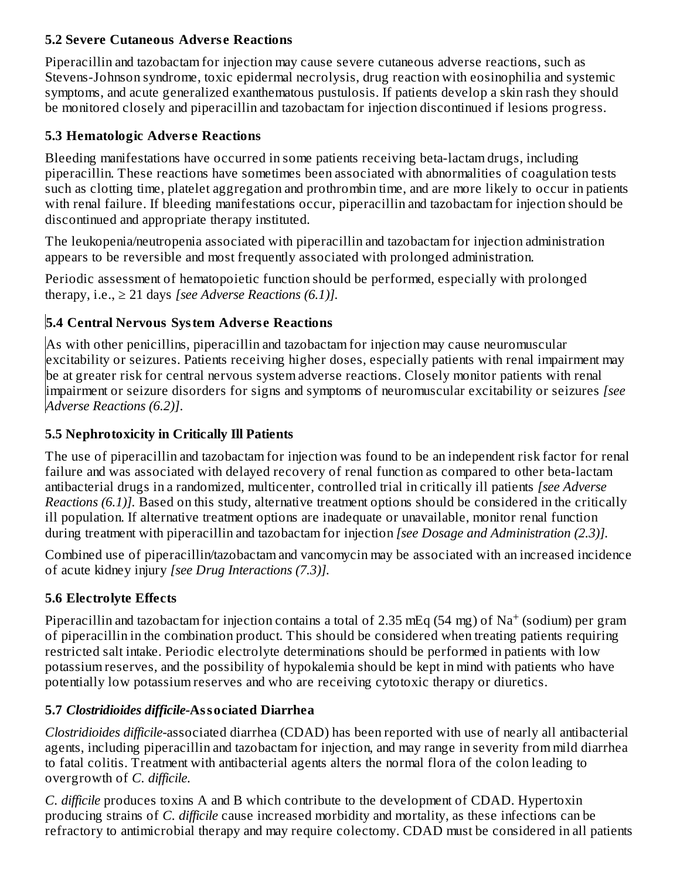# **5.2 Severe Cutaneous Advers e Reactions**

Piperacillin and tazobactam for injection may cause severe cutaneous adverse reactions, such as Stevens-Johnson syndrome, toxic epidermal necrolysis, drug reaction with eosinophilia and systemic symptoms, and acute generalized exanthematous pustulosis. If patients develop a skin rash they should be monitored closely and piperacillin and tazobactam for injection discontinued if lesions progress.

# **5.3 Hematologic Advers e Reactions**

Bleeding manifestations have occurred in some patients receiving beta-lactam drugs, including piperacillin. These reactions have sometimes been associated with abnormalities of coagulation tests such as clotting time, platelet aggregation and prothrombin time, and are more likely to occur in patients with renal failure. If bleeding manifestations occur, piperacillin and tazobactam for injection should be discontinued and appropriate therapy instituted.

The leukopenia/neutropenia associated with piperacillin and tazobactam for injection administration appears to be reversible and most frequently associated with prolonged administration.

Periodic assessment of hematopoietic function should be performed, especially with prolonged therapy, i.e.,  $\geq 21$  days *[see Adverse Reactions (6.1)]*.

# **5.4 Central Nervous System Advers e Reactions**

As with other penicillins, piperacillin and tazobactam for injection may cause neuromuscular excitability or seizures. Patients receiving higher doses, especially patients with renal impairment may be at greater risk for central nervous system adverse reactions. Closely monitor patients with renal impairment or seizure disorders for signs and symptoms of neuromuscular excitability or seizures *[see Adverse Reactions (6.2)]*.

# **5.5 Nephrotoxicity in Critically Ill Patients**

The use of piperacillin and tazobactam for injection was found to be an independent risk factor for renal failure and was associated with delayed recovery of renal function as compared to other beta-lactam antibacterial drugs in a randomized, multicenter, controlled trial in critically ill patients *[see Adverse Reactions (6.1)].* Based on this study, alternative treatment options should be considered in the critically ill population. If alternative treatment options are inadequate or unavailable, monitor renal function during treatment with piperacillin and tazobactam for injection *[see Dosage and Administration (2.3)].*

Combined use of piperacillin/tazobactam and vancomycin may be associated with an increased incidence of acute kidney injury *[see Drug Interactions (7.3)].*

# **5.6 Electrolyte Effects**

Piperacillin and tazobactam for injection contains a total of 2.35 mEq (54 mg) of  $\rm Na^+$  (sodium) per gram of piperacillin in the combination product. This should be considered when treating patients requiring restricted salt intake. Periodic electrolyte determinations should be performed in patients with low potassium reserves, and the possibility of hypokalemia should be kept in mind with patients who have potentially low potassium reserves and who are receiving cytotoxic therapy or diuretics.

# **5.7** *Clostridioides difficile-***Associated Diarrhea**

*Clostridioides difficile-*associated diarrhea (CDAD) has been reported with use of nearly all antibacterial agents, including piperacillin and tazobactam for injection, and may range in severity from mild diarrhea to fatal colitis. Treatment with antibacterial agents alters the normal flora of the colon leading to overgrowth of *C. difficile.*

*C. difficile* produces toxins A and B which contribute to the development of CDAD. Hypertoxin producing strains of *C. difficile* cause increased morbidity and mortality, as these infections can be refractory to antimicrobial therapy and may require colectomy. CDAD must be considered in all patients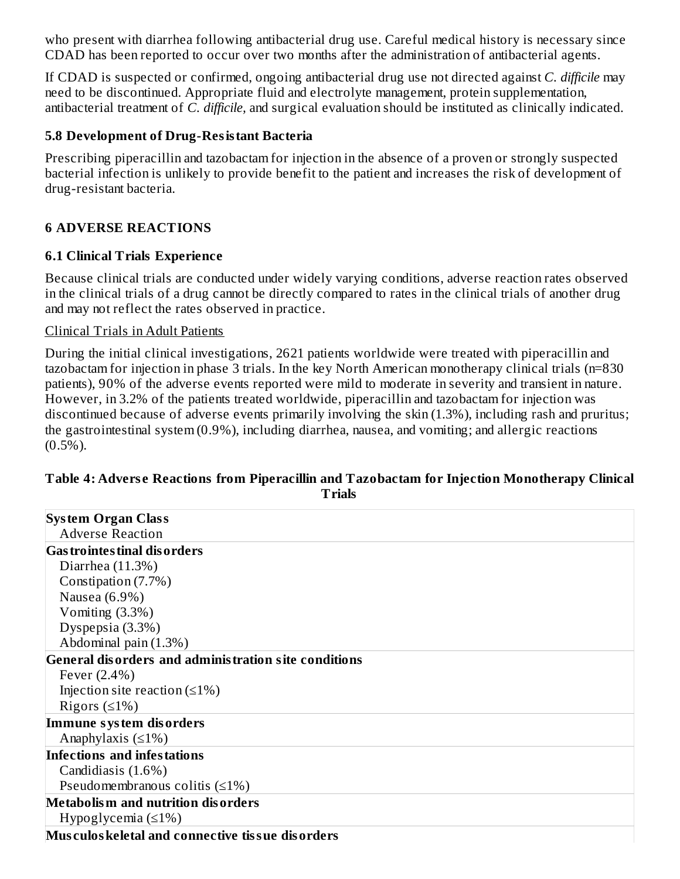who present with diarrhea following antibacterial drug use. Careful medical history is necessary since CDAD has been reported to occur over two months after the administration of antibacterial agents.

If CDAD is suspected or confirmed, ongoing antibacterial drug use not directed against *C. difficile* may need to be discontinued. Appropriate fluid and electrolyte management, protein supplementation, antibacterial treatment of *C. difficile,* and surgical evaluation should be instituted as clinically indicated.

### **5.8 Development of Drug-Resistant Bacteria**

Prescribing piperacillin and tazobactam for injection in the absence of a proven or strongly suspected bacterial infection is unlikely to provide benefit to the patient and increases the risk of development of drug-resistant bacteria.

### **6 ADVERSE REACTIONS**

### **6.1 Clinical Trials Experience**

Because clinical trials are conducted under widely varying conditions, adverse reaction rates observed in the clinical trials of a drug cannot be directly compared to rates in the clinical trials of another drug and may not reflect the rates observed in practice.

#### Clinical Trials in Adult Patients

During the initial clinical investigations, 2621 patients worldwide were treated with piperacillin and tazobactam for injection in phase 3 trials. In the key North American monotherapy clinical trials (n=830 patients), 90% of the adverse events reported were mild to moderate in severity and transient in nature. However, in 3.2% of the patients treated worldwide, piperacillin and tazobactam for injection was discontinued because of adverse events primarily involving the skin (1.3%), including rash and pruritus; the gastrointestinal system (0.9%), including diarrhea, nausea, and vomiting; and allergic reactions  $(0.5\%)$ .

# **Table 4: Advers e Reactions from Piperacillin and Tazobactam for Injection Monotherapy Clinical Trials**

| <b>System Organ Class</b>                            |
|------------------------------------------------------|
| <b>Adverse Reaction</b>                              |
| <b>Gas trointes tinal dis orders</b>                 |
| Diarrhea $(11.3%)$                                   |
| Constipation (7.7%)                                  |
| Nausea (6.9%)                                        |
| Vomiting $(3.3%)$                                    |
| Dyspepsia (3.3%)                                     |
| Abdominal pain (1.3%)                                |
| General disorders and administration site conditions |
| Fever (2.4%)                                         |
| Injection site reaction $(\leq 1\%)$                 |
| Rigors $(≤1%)$                                       |
| Immune system disorders                              |
| Anaphylaxis $(≤1%)$                                  |
| Infections and infestations                          |
| Candidiasis (1.6%)                                   |
| Pseudomembranous colitis $(≤1%)$                     |
| Metabolism and nutrition disorders                   |
| Hypoglycemia $(\leq 1\%)$                            |
| Musculos keletal and connective tissue disorders     |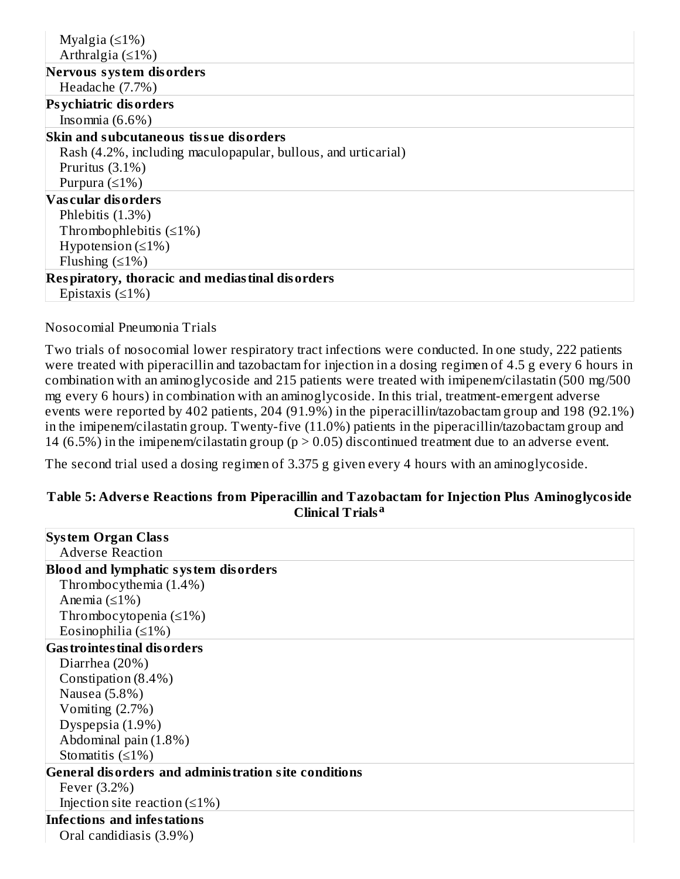| Myalgia $(≤1%)$                                               |
|---------------------------------------------------------------|
| Arthralgia $(≤1%)$                                            |
| Nervous system disorders                                      |
| Headache (7.7%)                                               |
| <b>Psychiatric disorders</b>                                  |
| Insomnia $(6.6\%)$                                            |
| Skin and subcutaneous tissue disorders                        |
| Rash (4.2%, including maculopapular, bullous, and urticarial) |
| Pruritus $(3.1\%)$                                            |
| Purpura $(≤1%)$                                               |
| Vascular disorders                                            |
| Phlebitis $(1.3%)$                                            |
| Thrombophlebitis $(\leq 1\%)$                                 |
| Hypotension $(\leq 1\%)$                                      |
| Flushing $(≤1%)$                                              |
| Respiratory, thoracic and mediastinal disorders               |
| Epistaxis $(≤1%)$                                             |

#### Nosocomial Pneumonia Trials

Two trials of nosocomial lower respiratory tract infections were conducted. In one study, 222 patients were treated with piperacillin and tazobactam for injection in a dosing regimen of 4.5 g every 6 hours in combination with an aminoglycoside and 215 patients were treated with imipenem/cilastatin (500 mg/500 mg every 6 hours) in combination with an aminoglycoside. In this trial, treatment-emergent adverse events were reported by 402 patients, 204 (91.9%) in the piperacillin/tazobactam group and 198 (92.1%) in the imipenem/cilastatin group. Twenty-five (11.0%) patients in the piperacillin/tazobactam group and 14 (6.5%) in the imipenem/cilastatin group ( $p > 0.05$ ) discontinued treatment due to an adverse event.

The second trial used a dosing regimen of 3.375 g given every 4 hours with an aminoglycoside.

### **Table 5: Advers e Reactions from Piperacillin and Tazobactam for Injection Plus Aminoglycoside Clinical Trials a**

| <b>System Organ Class</b>                            |
|------------------------------------------------------|
| <b>Adverse Reaction</b>                              |
| <b>Blood and lymphatic system disorders</b>          |
| Thrombocythemia (1.4%)                               |
| Anemia $(≤1%)$                                       |
| Thrombocytopenia $(\leq 1\%)$                        |
| Eosinophilia $(≤1%)$                                 |
| <b>Gas trointes tinal dis orders</b>                 |
| Diarrhea (20%)                                       |
| Constipation (8.4%)                                  |
| Nausea (5.8%)                                        |
| Vomiting $(2.7%)$                                    |
| Dyspepsia (1.9%)                                     |
| Abdominal pain (1.8%)                                |
| Stomatitis $(≤1%)$                                   |
| General disorders and administration site conditions |
| Fever (3.2%)                                         |
| Injection site reaction $(\leq 1\%)$                 |
| <b>Infections and infestations</b>                   |
| Oral candidiasis (3.9%)                              |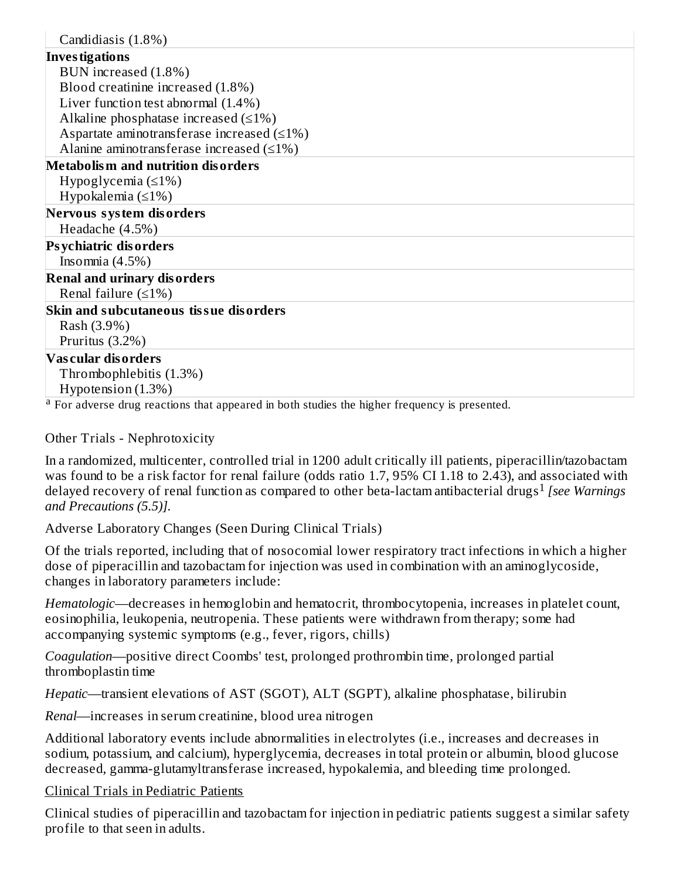| Candidiasis (1.8%)                                |
|---------------------------------------------------|
| <b>Investigations</b>                             |
| BUN increased (1.8%)                              |
| Blood creatinine increased (1.8%)                 |
| Liver function test abnormal (1.4%)               |
| Alkaline phosphatase increased $(\leq 1\%)$       |
| Aspartate aminotransferase increased $(\leq 1\%)$ |
| Alanine aminotransferase increased $(\leq 1\%)$   |
| <b>Metabolism and nutrition disorders</b>         |
| Hypoglycemia $(\leq 1\%)$                         |
| Hypokalemia $(\leq 1\%)$                          |
| Nervous system disorders                          |
| Headache (4.5%)                                   |
| <b>Psychiatric disorders</b>                      |
| Insomnia $(4.5\%)$                                |
| <b>Renal and urinary disorders</b>                |
| Renal failure $(≤1%)$                             |
| Skin and subcutaneous tissue disorders            |
| Rash (3.9%)                                       |
| Pruritus $(3.2\%)$                                |
| <b>Vascular disorders</b>                         |
| Thrombophlebitis (1.3%)                           |
| Hypotension (1.3%)                                |

<sup>a</sup> For adverse drug reactions that appeared in both studies the higher frequency is presented.

Other Trials - Nephrotoxicity

In a randomized, multicenter, controlled trial in 1200 adult critically ill patients, piperacillin/tazobactam was found to be a risk factor for renal failure (odds ratio 1.7, 95% CI 1.18 to 2.43), and associated with delayed recovery of renal function as compared to other beta-lactam antibacterial drugs *[see Warnings* 1*and Precautions (5.5)].*

Adverse Laboratory Changes (Seen During Clinical Trials)

Of the trials reported, including that of nosocomial lower respiratory tract infections in which a higher dose of piperacillin and tazobactam for injection was used in combination with an aminoglycoside, changes in laboratory parameters include:

*Hematologic*—decreases in hemoglobin and hematocrit, thrombocytopenia, increases in platelet count, eosinophilia, leukopenia, neutropenia. These patients were withdrawn from therapy; some had accompanying systemic symptoms (e.g., fever, rigors, chills)

*Coagulation*—positive direct Coombs' test, prolonged prothrombin time, prolonged partial thromboplastin time

*Hepatic*—transient elevations of AST (SGOT), ALT (SGPT), alkaline phosphatase, bilirubin

*Renal*—increases in serum creatinine, blood urea nitrogen

Additional laboratory events include abnormalities in electrolytes (i.e., increases and decreases in sodium, potassium, and calcium), hyperglycemia, decreases in total protein or albumin, blood glucose decreased, gamma-glutamyltransferase increased, hypokalemia, and bleeding time prolonged.

Clinical Trials in Pediatric Patients

Clinical studies of piperacillin and tazobactam for injection in pediatric patients suggest a similar safety profile to that seen in adults.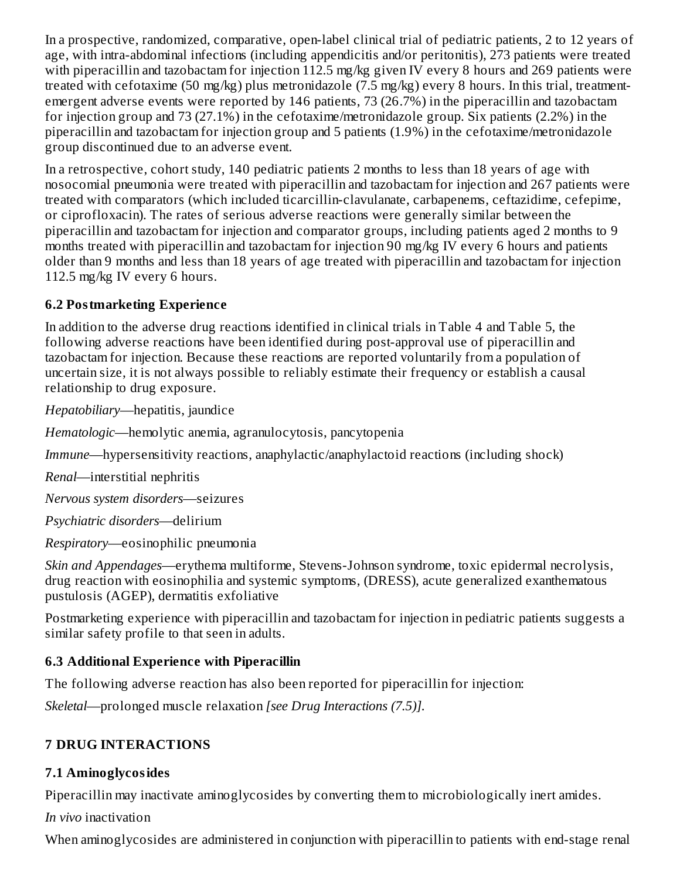In a prospective, randomized, comparative, open-label clinical trial of pediatric patients, 2 to 12 years of age, with intra-abdominal infections (including appendicitis and/or peritonitis), 273 patients were treated with piperacillin and tazobactam for injection 112.5 mg/kg given IV every 8 hours and 269 patients were treated with cefotaxime (50 mg/kg) plus metronidazole (7.5 mg/kg) every 8 hours. In this trial, treatmentemergent adverse events were reported by 146 patients, 73 (26.7%) in the piperacillin and tazobactam for injection group and 73 (27.1%) in the cefotaxime/metronidazole group. Six patients (2.2%) in the piperacillin and tazobactam for injection group and 5 patients (1.9%) in the cefotaxime/metronidazole group discontinued due to an adverse event.

In a retrospective, cohort study, 140 pediatric patients 2 months to less than 18 years of age with nosocomial pneumonia were treated with piperacillin and tazobactam for injection and 267 patients were treated with comparators (which included ticarcillin-clavulanate, carbapenems, ceftazidime, cefepime, or ciprofloxacin). The rates of serious adverse reactions were generally similar between the piperacillin and tazobactam for injection and comparator groups, including patients aged 2 months to 9 months treated with piperacillin and tazobactam for injection 90 mg/kg IV every 6 hours and patients older than 9 months and less than 18 years of age treated with piperacillin and tazobactam for injection 112.5 mg/kg IV every 6 hours.

# **6.2 Postmarketing Experience**

In addition to the adverse drug reactions identified in clinical trials in Table 4 and Table 5, the following adverse reactions have been identified during post-approval use of piperacillin and tazobactam for injection. Because these reactions are reported voluntarily from a population of uncertain size, it is not always possible to reliably estimate their frequency or establish a causal relationship to drug exposure.

*Hepatobiliary*—hepatitis, jaundice

*Hematologic*—hemolytic anemia, agranulocytosis, pancytopenia

*Immune*—hypersensitivity reactions, anaphylactic/anaphylactoid reactions (including shock)

*Renal*—interstitial nephritis

*Nervous system disorders*—seizures

*Psychiatric disorders*—delirium

*Respiratory*—eosinophilic pneumonia

*Skin and Appendages*—erythema multiforme, Stevens-Johnson syndrome, toxic epidermal necrolysis, drug reaction with eosinophilia and systemic symptoms, (DRESS), acute generalized exanthematous pustulosis (AGEP), dermatitis exfoliative

Postmarketing experience with piperacillin and tazobactam for injection in pediatric patients suggests a similar safety profile to that seen in adults.

# **6.3 Additional Experience with Piperacillin**

The following adverse reaction has also been reported for piperacillin for injection:

*Skeletal*—prolonged muscle relaxation *[see Drug Interactions (7.5)].*

# **7 DRUG INTERACTIONS**

# **7.1 Aminoglycosides**

Piperacillin may inactivate aminoglycosides by converting them to microbiologically inert amides.

*In vivo* inactivation

When aminoglycosides are administered in conjunction with piperacillin to patients with end-stage renal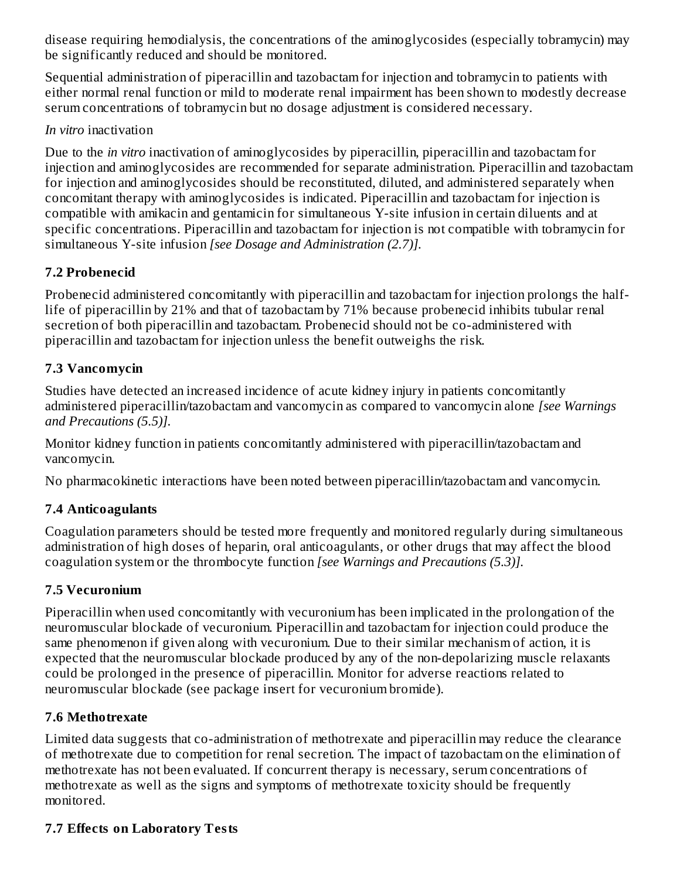disease requiring hemodialysis, the concentrations of the aminoglycosides (especially tobramycin) may be significantly reduced and should be monitored.

Sequential administration of piperacillin and tazobactam for injection and tobramycin to patients with either normal renal function or mild to moderate renal impairment has been shown to modestly decrease serum concentrations of tobramycin but no dosage adjustment is considered necessary.

# *In vitro* inactivation

Due to the *in vitro* inactivation of aminoglycosides by piperacillin, piperacillin and tazobactam for injection and aminoglycosides are recommended for separate administration. Piperacillin and tazobactam for injection and aminoglycosides should be reconstituted, diluted, and administered separately when concomitant therapy with aminoglycosides is indicated. Piperacillin and tazobactam for injection is compatible with amikacin and gentamicin for simultaneous Y-site infusion in certain diluents and at specific concentrations. Piperacillin and tazobactam for injection is not compatible with tobramycin for simultaneous Y-site infusion *[see Dosage and Administration (2.7)].*

# **7.2 Probenecid**

Probenecid administered concomitantly with piperacillin and tazobactam for injection prolongs the halflife of piperacillin by 21% and that of tazobactam by 71% because probenecid inhibits tubular renal secretion of both piperacillin and tazobactam. Probenecid should not be co-administered with piperacillin and tazobactam for injection unless the benefit outweighs the risk.

# **7.3 Vancomycin**

Studies have detected an increased incidence of acute kidney injury in patients concomitantly administered piperacillin/tazobactam and vancomycin as compared to vancomycin alone *[see Warnings and Precautions (5.5)].*

Monitor kidney function in patients concomitantly administered with piperacillin/tazobactam and vancomycin.

No pharmacokinetic interactions have been noted between piperacillin/tazobactam and vancomycin.

# **7.4 Anticoagulants**

Coagulation parameters should be tested more frequently and monitored regularly during simultaneous administration of high doses of heparin, oral anticoagulants, or other drugs that may affect the blood coagulation system or the thrombocyte function *[see Warnings and Precautions (5.3)].*

# **7.5 Vecuronium**

Piperacillin when used concomitantly with vecuronium has been implicated in the prolongation of the neuromuscular blockade of vecuronium. Piperacillin and tazobactam for injection could produce the same phenomenon if given along with vecuronium. Due to their similar mechanism of action, it is expected that the neuromuscular blockade produced by any of the non-depolarizing muscle relaxants could be prolonged in the presence of piperacillin. Monitor for adverse reactions related to neuromuscular blockade (see package insert for vecuronium bromide).

# **7.6 Methotrexate**

Limited data suggests that co-administration of methotrexate and piperacillin may reduce the clearance of methotrexate due to competition for renal secretion. The impact of tazobactam on the elimination of methotrexate has not been evaluated. If concurrent therapy is necessary, serum concentrations of methotrexate as well as the signs and symptoms of methotrexate toxicity should be frequently monitored.

# **7.7 Effects on Laboratory Tests**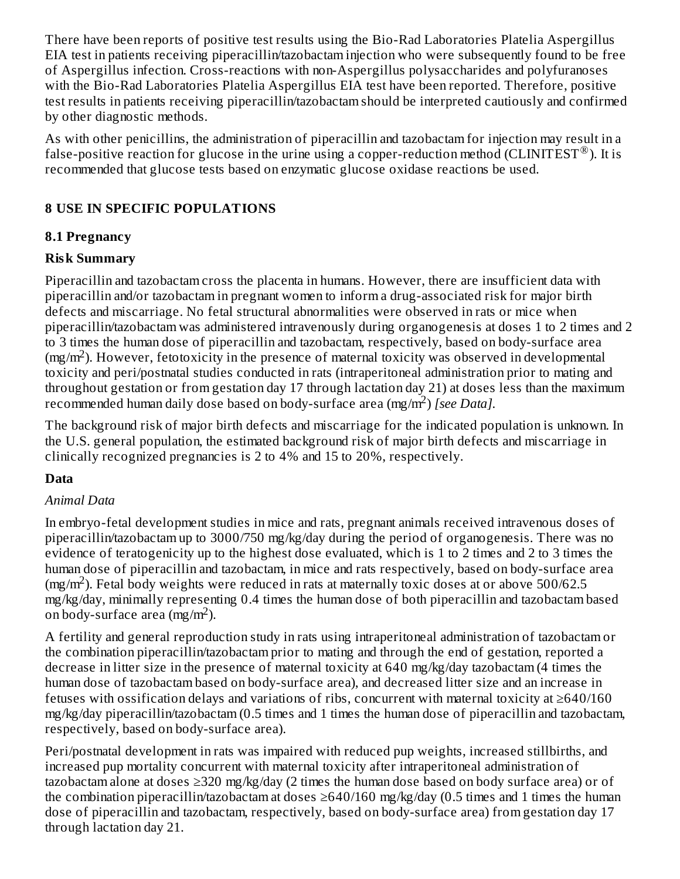There have been reports of positive test results using the Bio-Rad Laboratories Platelia Aspergillus EIA test in patients receiving piperacillin/tazobactam injection who were subsequently found to be free of Aspergillus infection. Cross-reactions with non-Aspergillus polysaccharides and polyfuranoses with the Bio-Rad Laboratories Platelia Aspergillus EIA test have been reported. Therefore, positive test results in patients receiving piperacillin/tazobactam should be interpreted cautiously and confirmed by other diagnostic methods.

As with other penicillins, the administration of piperacillin and tazobactam for injection may result in a false-positive reaction for glucose in the urine using a copper-reduction method (CLINITEST®). It is recommended that glucose tests based on enzymatic glucose oxidase reactions be used.

# **8 USE IN SPECIFIC POPULATIONS**

# **8.1 Pregnancy**

# **Risk Summary**

Piperacillin and tazobactam cross the placenta in humans. However, there are insufficient data with piperacillin and/or tazobactam in pregnant women to inform a drug-associated risk for major birth defects and miscarriage. No fetal structural abnormalities were observed in rats or mice when piperacillin/tazobactam was administered intravenously during organogenesis at doses 1 to 2 times and 2 to 3 times the human dose of piperacillin and tazobactam, respectively, based on body-surface area  $(mg/m<sup>2</sup>)$ . However, fetotoxicity in the presence of maternal toxicity was observed in developmental toxicity and peri/postnatal studies conducted in rats (intraperitoneal administration prior to mating and throughout gestation or from gestation day 17 through lactation day 21) at doses less than the maximum recommended human daily dose based on body-surface area (mg/m<sup>2</sup>) [see Data].

The background risk of major birth defects and miscarriage for the indicated population is unknown. In the U.S. general population, the estimated background risk of major birth defects and miscarriage in clinically recognized pregnancies is 2 to 4% and 15 to 20%, respectively.

# **Data**

# *Animal Data*

In embryo-fetal development studies in mice and rats, pregnant animals received intravenous doses of piperacillin/tazobactam up to 3000/750 mg/kg/day during the period of organogenesis. There was no evidence of teratogenicity up to the highest dose evaluated, which is 1 to 2 times and 2 to 3 times the human dose of piperacillin and tazobactam, in mice and rats respectively, based on body-surface area  $(mg/m<sup>2</sup>)$ . Fetal body weights were reduced in rats at maternally toxic doses at or above 500/62.5 mg/kg/day, minimally representing 0.4 times the human dose of both piperacillin and tazobactam based on body-surface area  $(mg/m<sup>2</sup>)$ .

A fertility and general reproduction study in rats using intraperitoneal administration of tazobactam or the combination piperacillin/tazobactam prior to mating and through the end of gestation, reported a decrease in litter size in the presence of maternal toxicity at 640 mg/kg/day tazobactam (4 times the human dose of tazobactam based on body-surface area), and decreased litter size and an increase in fetuses with ossification delays and variations of ribs, concurrent with maternal toxicity at  $\geq 640/160$ mg/kg/day piperacillin/tazobactam (0.5 times and 1 times the human dose of piperacillin and tazobactam, respectively, based on body-surface area).

Peri/postnatal development in rats was impaired with reduced pup weights, increased stillbirths, and increased pup mortality concurrent with maternal toxicity after intraperitoneal administration of tazobactam alone at doses ≥320 mg/kg/day (2 times the human dose based on body surface area) or of the combination piperacillin/tazobactam at doses ≥640/160 mg/kg/day (0.5 times and 1 times the human dose of piperacillin and tazobactam, respectively, based on body-surface area) from gestation day 17 through lactation day 21.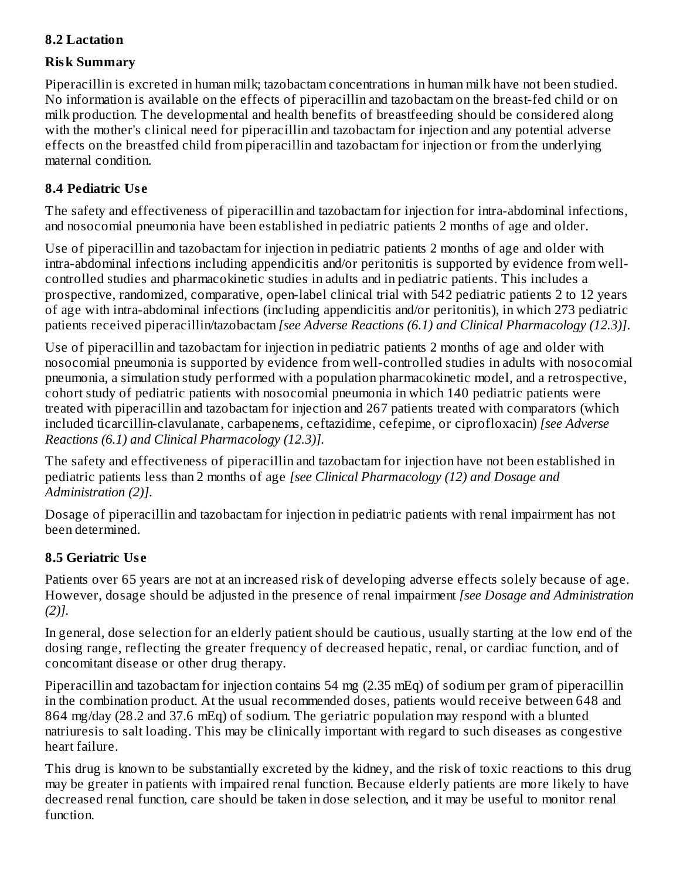# **8.2 Lactation**

### **Risk Summary**

Piperacillin is excreted in human milk; tazobactam concentrations in human milk have not been studied. No information is available on the effects of piperacillin and tazobactam on the breast-fed child or on milk production. The developmental and health benefits of breastfeeding should be considered along with the mother's clinical need for piperacillin and tazobactam for injection and any potential adverse effects on the breastfed child from piperacillin and tazobactam for injection or from the underlying maternal condition.

# **8.4 Pediatric Us e**

The safety and effectiveness of piperacillin and tazobactam for injection for intra-abdominal infections, and nosocomial pneumonia have been established in pediatric patients 2 months of age and older.

Use of piperacillin and tazobactam for injection in pediatric patients 2 months of age and older with intra-abdominal infections including appendicitis and/or peritonitis is supported by evidence from wellcontrolled studies and pharmacokinetic studies in adults and in pediatric patients. This includes a prospective, randomized, comparative, open-label clinical trial with 542 pediatric patients 2 to 12 years of age with intra-abdominal infections (including appendicitis and/or peritonitis), in which 273 pediatric patients received piperacillin/tazobactam *[see Adverse Reactions (6.1) and Clinical Pharmacology (12.3)]*.

Use of piperacillin and tazobactam for injection in pediatric patients 2 months of age and older with nosocomial pneumonia is supported by evidence from well-controlled studies in adults with nosocomial pneumonia, a simulation study performed with a population pharmacokinetic model, and a retrospective, cohort study of pediatric patients with nosocomial pneumonia in which 140 pediatric patients were treated with piperacillin and tazobactam for injection and 267 patients treated with comparators (which included ticarcillin-clavulanate, carbapenems, ceftazidime, cefepime, or ciprofloxacin) *[see Adverse Reactions (6.1) and Clinical Pharmacology (12.3)].*

The safety and effectiveness of piperacillin and tazobactam for injection have not been established in pediatric patients less than 2 months of age *[see Clinical Pharmacology (12) and Dosage and Administration (2)]*.

Dosage of piperacillin and tazobactam for injection in pediatric patients with renal impairment has not been determined.

# **8.5 Geriatric Us e**

Patients over 65 years are not at an increased risk of developing adverse effects solely because of age. However, dosage should be adjusted in the presence of renal impairment *[see Dosage and Administration (2)].*

In general, dose selection for an elderly patient should be cautious, usually starting at the low end of the dosing range, reflecting the greater frequency of decreased hepatic, renal, or cardiac function, and of concomitant disease or other drug therapy.

Piperacillin and tazobactam for injection contains 54 mg (2.35 mEq) of sodium per gram of piperacillin in the combination product. At the usual recommended doses, patients would receive between 648 and 864 mg/day (28.2 and 37.6 mEq) of sodium. The geriatric population may respond with a blunted natriuresis to salt loading. This may be clinically important with regard to such diseases as congestive heart failure.

This drug is known to be substantially excreted by the kidney, and the risk of toxic reactions to this drug may be greater in patients with impaired renal function. Because elderly patients are more likely to have decreased renal function, care should be taken in dose selection, and it may be useful to monitor renal function.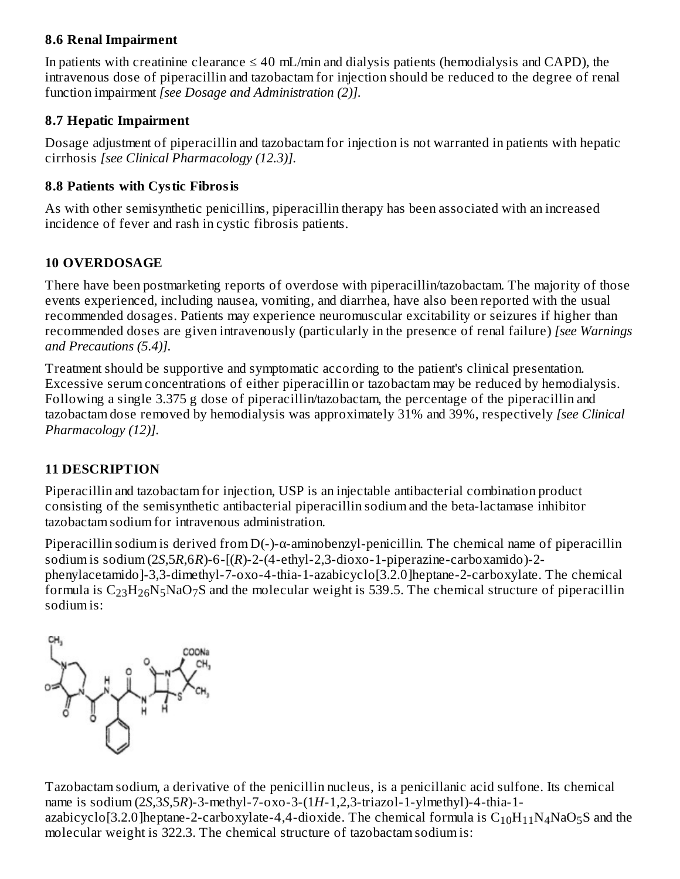### **8.6 Renal Impairment**

In patients with creatinine clearance  $\leq 40$  mL/min and dialysis patients (hemodialysis and CAPD), the intravenous dose of piperacillin and tazobactam for injection should be reduced to the degree of renal function impairment *[see Dosage and Administration (2)].*

# **8.7 Hepatic Impairment**

Dosage adjustment of piperacillin and tazobactam for injection is not warranted in patients with hepatic cirrhosis *[see Clinical Pharmacology (12.3)].*

# **8.8 Patients with Cystic Fibrosis**

As with other semisynthetic penicillins, piperacillin therapy has been associated with an increased incidence of fever and rash in cystic fibrosis patients.

# **10 OVERDOSAGE**

There have been postmarketing reports of overdose with piperacillin/tazobactam. The majority of those events experienced, including nausea, vomiting, and diarrhea, have also been reported with the usual recommended dosages. Patients may experience neuromuscular excitability or seizures if higher than recommended doses are given intravenously (particularly in the presence of renal failure) *[see Warnings and Precautions (5.4)].*

Treatment should be supportive and symptomatic according to the patient's clinical presentation. Excessive serum concentrations of either piperacillin or tazobactam may be reduced by hemodialysis. Following a single 3.375 g dose of piperacillin/tazobactam, the percentage of the piperacillin and tazobactam dose removed by hemodialysis was approximately 31% and 39%, respectively *[see Clinical Pharmacology (12)].*

# **11 DESCRIPTION**

Piperacillin and tazobactam for injection, USP is an injectable antibacterial combination product consisting of the semisynthetic antibacterial piperacillin sodium and the beta-lactamase inhibitor tazobactam sodium for intravenous administration.

Piperacillin sodium is derived from D(-)-α-aminobenzyl-penicillin. The chemical name of piperacillin sodium is sodium (2*S*,5*R*,6*R*)-6-[(*R*)-2-(4-ethyl-2,3-dioxo-1-piperazine-carboxamido)-2 phenylacetamido]-3,3-dimethyl-7-oxo-4-thia-1-azabicyclo[3.2.0]heptane-2-carboxylate. The chemical formula is  $\rm{C_{23}H_{26}N_5NaO_7S}$  and the molecular weight is 539.5. The chemical structure of piperacillin sodium is:



Tazobactam sodium, a derivative of the penicillin nucleus, is a penicillanic acid sulfone. Its chemical name is sodium (2*S,*3*S,*5*R*)-3-methyl-7-oxo-3-(1*H*-1,2,3-triazol-1-ylmethyl)-4-thia-1 azabicyclo[3.2.0]heptane-2-carboxylate-4,4-dioxide. The chemical formula is  $\rm C_{10}H_{11}N_4NaO_5S$  and the molecular weight is 322.3. The chemical structure of tazobactam sodium is: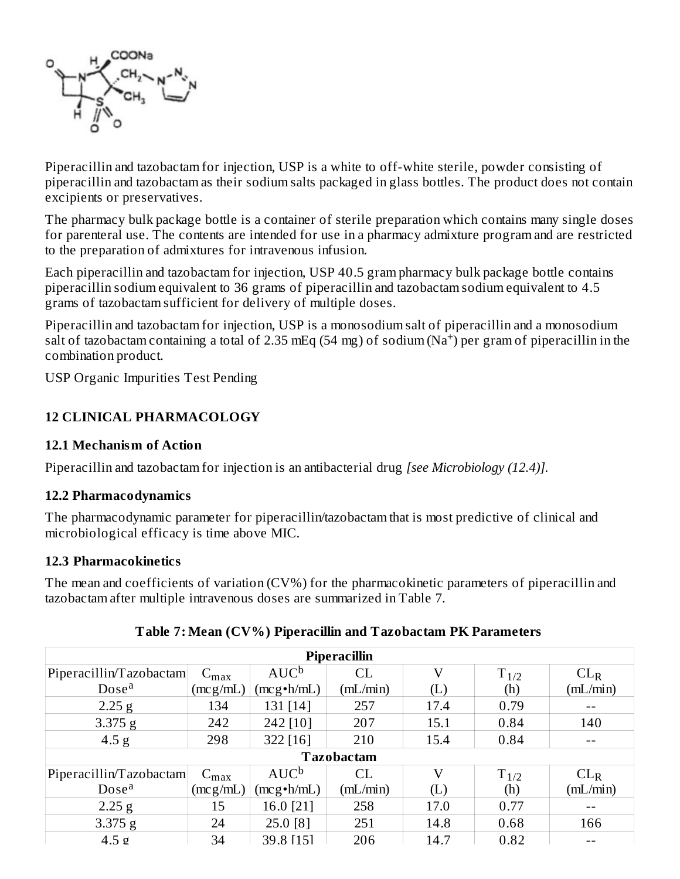

Piperacillin and tazobactam for injection, USP is a white to off-white sterile, powder consisting of piperacillin and tazobactam as their sodium salts packaged in glass bottles. The product does not contain excipients or preservatives.

The pharmacy bulk package bottle is a container of sterile preparation which contains many single doses for parenteral use. The contents are intended for use in a pharmacy admixture program and are restricted to the preparation of admixtures for intravenous infusion.

Each piperacillin and tazobactam for injection, USP 40.5 gram pharmacy bulk package bottle contains piperacillin sodium equivalent to 36 grams of piperacillin and tazobactam sodium equivalent to 4.5 grams of tazobactam sufficient for delivery of multiple doses.

Piperacillin and tazobactam for injection, USP is a monosodium salt of piperacillin and a monosodium salt of tazobactam containing a total of 2.35 mEq (54 mg) of sodium  $(Na^+)$  per gram of piperacillin in the combination product.

USP Organic Impurities Test Pending

### **12 CLINICAL PHARMACOLOGY**

#### **12.1 Mechanism of Action**

Piperacillin and tazobactam for injection is an antibacterial drug *[see Microbiology (12.4)].*

#### **12.2 Pharmacodynamics**

The pharmacodynamic parameter for piperacillin/tazobactam that is most predictive of clinical and microbiological efficacy is time above MIC.

#### **12.3 Pharmacokinetics**

The mean and coefficients of variation (CV%) for the pharmacokinetic parameters of piperacillin and tazobactam after multiple intravenous doses are summarized in Table 7.

| <b>Piperacillin</b>     |                  |                    |                   |      |           |                 |
|-------------------------|------------------|--------------------|-------------------|------|-----------|-----------------|
| Piperacillin/Tazobactam | $C_{\text{max}}$ | $AUC^b$            | CL                | V    | $T_{1/2}$ | CL <sub>R</sub> |
| Dose <sup>a</sup>       | (mcg/mL)         | $(mcg \cdot h/mL)$ | mL/min            | (L)  | (h)       | (mL/min)        |
| $2.25$ g                | 134              | 131 [14]           | 257               | 17.4 | 0.79      |                 |
| $3.375$ g               | 242              | 242 [10]           | 207               | 15.1 | 0.84      | 140             |
| 4.5 <sub>g</sub>        | 298              | 322 [16]           | 210               | 15.4 | 0.84      |                 |
|                         |                  |                    | <b>Tazobactam</b> |      |           |                 |
| Piperacillin/Tazobactam | $C_{\max}$       | $AUC^b$            | CL                | V    | $T_{1/2}$ | $CL_R$          |
| Dose <sup>a</sup>       | (mcg/mL)         | $(mcg \cdot h/mL)$ | mL/min            | (L)  | (h)       | mL/min          |
| $2.25$ g                | 15               | 16.0 [21]          | 258               | 17.0 | 0.77      |                 |
| $3.375$ g               | 24               | 25.0 [8]           | 251               | 14.8 | 0.68      | 166             |
| $4.5 \rho$              | 34               | 39.8 [15]          | 206               | 14.7 | 0.82      |                 |

#### **Table 7: Mean (CV%) Piperacillin and Tazobactam PK Parameters**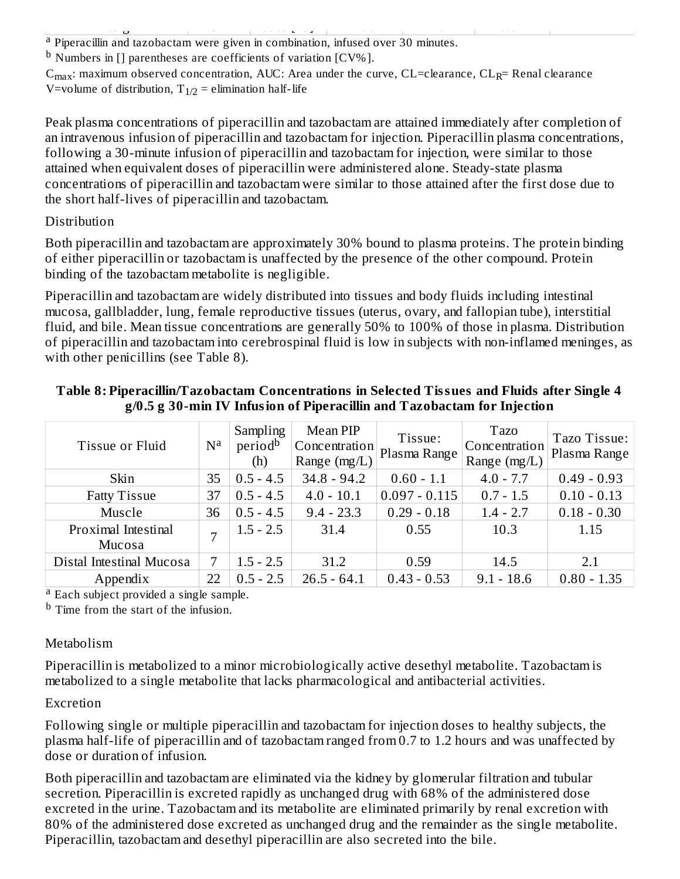<sup>a</sup> Piperacillin and tazobactam were given in combination, infused over 30 minutes. 4.5 g 34.8 [15] 31.5 g 34.8 [15] 31.5 g 32.8 [15] 31.5 g 32.82 [15] 31.5 g 32.82 [15] 31.5 g 32.82 [15] 31.5 g

 $^{\rm b}$  Numbers in [] parentheses are coefficients of variation [CV%].

 $C_{max}$ : maximum observed concentration, AUC: Area under the curve, CL=clearance, CL<sub>R</sub>= Renal clearance V=volume of distribution,  $T_{1/2}$  = elimination half-life

Peak plasma concentrations of piperacillin and tazobactam are attained immediately after completion of an intravenous infusion of piperacillin and tazobactam for injection. Piperacillin plasma concentrations, following a 30-minute infusion of piperacillin and tazobactam for injection, were similar to those attained when equivalent doses of piperacillin were administered alone. Steady-state plasma concentrations of piperacillin and tazobactam were similar to those attained after the first dose due to the short half-lives of piperacillin and tazobactam.

### Distribution

Both piperacillin and tazobactam are approximately 30% bound to plasma proteins. The protein binding of either piperacillin or tazobactam is unaffected by the presence of the other compound. Protein binding of the tazobactam metabolite is negligible.

Piperacillin and tazobactam are widely distributed into tissues and body fluids including intestinal mucosa, gallbladder, lung, female reproductive tissues (uterus, ovary, and fallopian tube), interstitial fluid, and bile. Mean tissue concentrations are generally 50% to 100% of those in plasma. Distribution of piperacillin and tazobactam into cerebrospinal fluid is low in subjects with non-inflamed meninges, as with other penicillins (see Table 8).

| Tissue or Fluid          | $\mathbf{N}^{\mathbf{a}}$ | Sampling<br>period <sup>b</sup><br>(h) | Mean PIP<br>Concentration<br>Range (mg/L) | Tissue:<br>Plasma Range | <b>Tazo</b><br>Concentration<br>Range $(mg/L)$ | Tazo Tissue:<br>Plasma Range |
|--------------------------|---------------------------|----------------------------------------|-------------------------------------------|-------------------------|------------------------------------------------|------------------------------|
| Skin                     | 35                        | $0.5 - 4.5$                            | $34.8 - 94.2$                             | $0.60 - 1.1$            | $4.0 - 7.7$                                    | $0.49 - 0.93$                |
| <b>Fatty Tissue</b>      | 37                        | $0.5 - 4.5$                            | $4.0 - 10.1$                              | $0.097 - 0.115$         | $0.7 - 1.5$                                    | $0.10 - 0.13$                |
| Muscle                   | 36                        | $0.5 - 4.5$                            | $9.4 - 23.3$                              | $0.29 - 0.18$           | $1.4 - 2.7$                                    | $0.18 - 0.30$                |
| Proximal Intestinal      | 7                         | $1.5 - 2.5$                            | 31.4                                      | 0.55                    | 10.3                                           | 1.15                         |
| <b>Mucosa</b>            |                           |                                        |                                           |                         |                                                |                              |
| Distal Intestinal Mucosa | 7                         | $1.5 - 2.5$                            | 31.2                                      | 0.59                    | 14.5                                           | 2.1                          |
| Appendix                 | 22                        | $0.5 - 2.5$                            | $26.5 - 64.1$                             | $0.43 - 0.53$           | $9.1 - 18.6$                                   | $0.80 - 1.35$                |

### **Table 8: Piperacillin/Tazobactam Concentrations in Selected Tissues and Fluids after Single 4 g/0.5 g 30-min IV Infusion of Piperacillin and Tazobactam for Injection**

<sup>a</sup> Each subject provided a single sample.

<sup>b</sup> Time from the start of the infusion.

# Metabolism

Piperacillin is metabolized to a minor microbiologically active desethyl metabolite. Tazobactam is metabolized to a single metabolite that lacks pharmacological and antibacterial activities.

# Excretion

Following single or multiple piperacillin and tazobactam for injection doses to healthy subjects, the plasma half-life of piperacillin and of tazobactam ranged from 0.7 to 1.2 hours and was unaffected by dose or duration of infusion.

Both piperacillin and tazobactam are eliminated via the kidney by glomerular filtration and tubular secretion. Piperacillin is excreted rapidly as unchanged drug with 68% of the administered dose excreted in the urine. Tazobactam and its metabolite are eliminated primarily by renal excretion with 80% of the administered dose excreted as unchanged drug and the remainder as the single metabolite. Piperacillin, tazobactam and desethyl piperacillin are also secreted into the bile.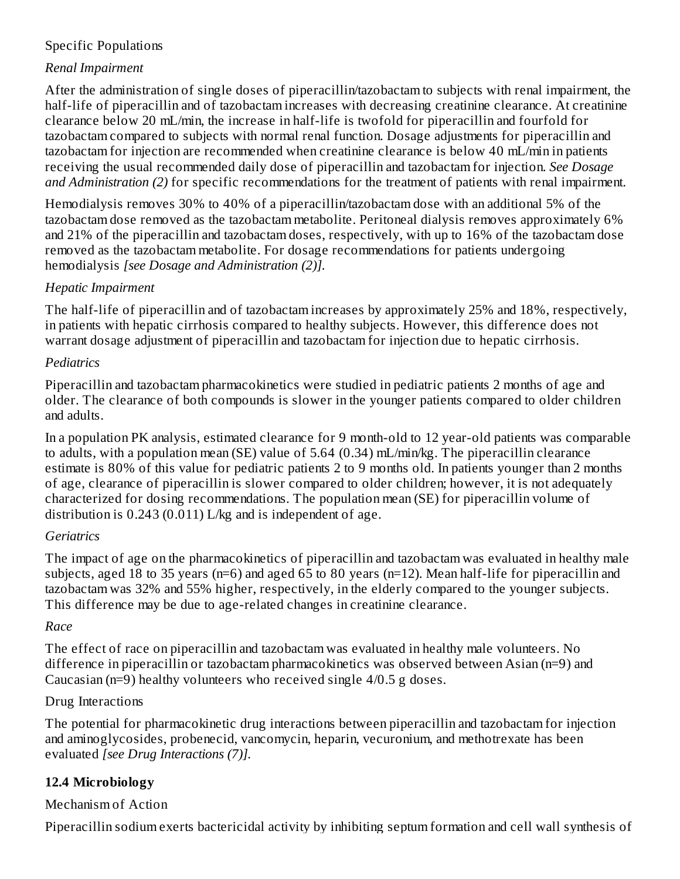# Specific Populations

# *Renal Impairment*

After the administration of single doses of piperacillin/tazobactam to subjects with renal impairment, the half-life of piperacillin and of tazobactam increases with decreasing creatinine clearance. At creatinine clearance below 20 mL/min, the increase in half-life is twofold for piperacillin and fourfold for tazobactam compared to subjects with normal renal function. Dosage adjustments for piperacillin and tazobactam for injection are recommended when creatinine clearance is below 40 mL/min in patients receiving the usual recommended daily dose of piperacillin and tazobactam for injection. *See Dosage and Administration (2)* for specific recommendations for the treatment of patients with renal impairment.

Hemodialysis removes 30% to 40% of a piperacillin/tazobactam dose with an additional 5% of the tazobactam dose removed as the tazobactam metabolite. Peritoneal dialysis removes approximately 6% and 21% of the piperacillin and tazobactam doses, respectively, with up to 16% of the tazobactam dose removed as the tazobactam metabolite. For dosage recommendations for patients undergoing hemodialysis *[see Dosage and Administration (2)].*

### *Hepatic Impairment*

The half-life of piperacillin and of tazobactam increases by approximately 25% and 18%, respectively, in patients with hepatic cirrhosis compared to healthy subjects. However, this difference does not warrant dosage adjustment of piperacillin and tazobactam for injection due to hepatic cirrhosis.

### *Pediatrics*

Piperacillin and tazobactam pharmacokinetics were studied in pediatric patients 2 months of age and older. The clearance of both compounds is slower in the younger patients compared to older children and adults.

In a population PK analysis, estimated clearance for 9 month-old to 12 year-old patients was comparable to adults, with a population mean (SE) value of 5.64 (0.34) mL/min/kg. The piperacillin clearance estimate is 80% of this value for pediatric patients 2 to 9 months old. In patients younger than 2 months of age, clearance of piperacillin is slower compared to older children; however, it is not adequately characterized for dosing recommendations. The population mean (SE) for piperacillin volume of distribution is 0.243 (0.011) L/kg and is independent of age.

# *Geriatrics*

The impact of age on the pharmacokinetics of piperacillin and tazobactam was evaluated in healthy male subjects, aged 18 to 35 years (n=6) and aged 65 to 80 years (n=12). Mean half-life for piperacillin and tazobactam was 32% and 55% higher, respectively, in the elderly compared to the younger subjects. This difference may be due to age-related changes in creatinine clearance.

# *Race*

The effect of race on piperacillin and tazobactam was evaluated in healthy male volunteers. No difference in piperacillin or tazobactam pharmacokinetics was observed between Asian (n=9) and Caucasian (n=9) healthy volunteers who received single 4/0.5 g doses.

### Drug Interactions

The potential for pharmacokinetic drug interactions between piperacillin and tazobactam for injection and aminoglycosides, probenecid, vancomycin, heparin, vecuronium, and methotrexate has been evaluated *[see Drug Interactions (7)].*

# **12.4 Microbiology**

# Mechanism of Action

Piperacillin sodium exerts bactericidal activity by inhibiting septum formation and cell wall synthesis of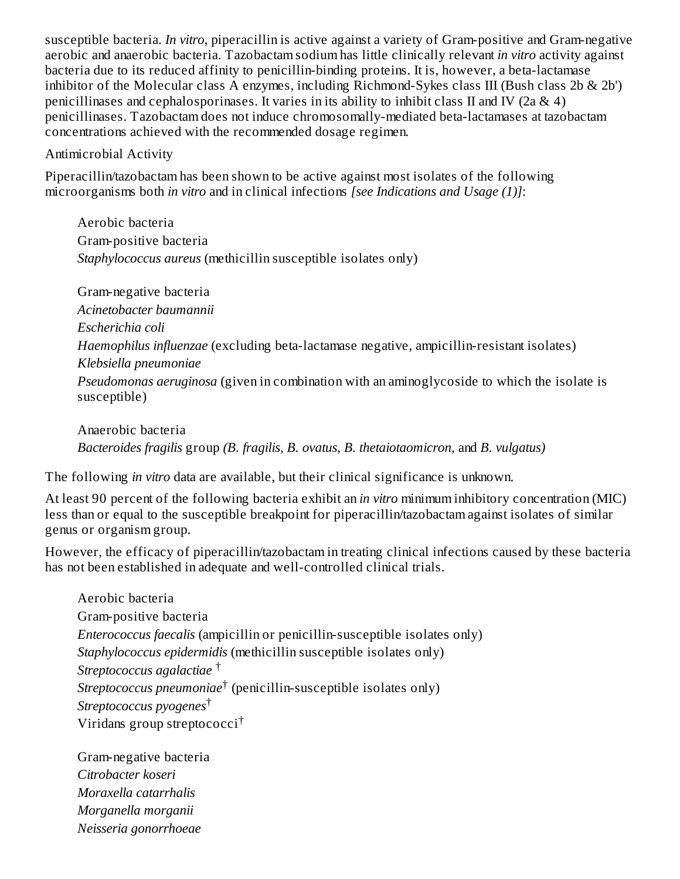susceptible bacteria. *In vitro,* piperacillin is active against a variety of Gram-positive and Gram-negative aerobic and anaerobic bacteria. Tazobactam sodium has little clinically relevant *in vitro* activity against bacteria due to its reduced affinity to penicillin-binding proteins. It is, however, a beta-lactamase inhibitor of the Molecular class A enzymes, including Richmond-Sykes class III (Bush class 2b & 2b') penicillinases and cephalosporinases. It varies in its ability to inhibit class II and IV (2a & 4) penicillinases. Tazobactam does not induce chromosomally-mediated beta-lactamases at tazobactam concentrations achieved with the recommended dosage regimen.

#### Antimicrobial Activity

Piperacillin/tazobactam has been shown to be active against most isolates of the following microorganisms both *in vitro* and in clinical infections *[see Indications and Usage (1)]*:

Aerobic bacteria Gram-positive bacteria *Staphylococcus aureus* (methicillin susceptible isolates only)

Gram-negative bacteria *Acinetobacter baumannii Escherichia coli Haemophilus influenzae* (excluding beta-lactamase negative, ampicillin-resistant isolates) *Klebsiella pneumoniae Pseudomonas aeruginosa* (given in combination with an aminoglycoside to which the isolate is susceptible)

Anaerobic bacteria *Bacteroides fragilis* group *(B. fragilis, B. ovatus, B. thetaiotaomicron,* and *B. vulgatus)*

The following *in vitro* data are available, but their clinical significance is unknown.

At least 90 percent of the following bacteria exhibit an *in vitro* minimum inhibitory concentration (MIC) less than or equal to the susceptible breakpoint for piperacillin/tazobactam against isolates of similar genus or organism group.

However, the efficacy of piperacillin/tazobactam in treating clinical infections caused by these bacteria has not been established in adequate and well-controlled clinical trials.

Aerobic bacteria Gram-positive bacteria *Enterococcus faecalis* (ampicillin or penicillin-susceptible isolates only) *Staphylococcus epidermidis* (methicillin susceptible isolates only) *Streptococcus agalactiae* † *Streptococcus pneumoniae*† (penicillin-susceptible isolates only) *Streptococcus pyogenes* † Viridans group streptococci †

Gram-negative bacteria *Citrobacter koseri Moraxella catarrhalis Morganella morganii Neisseria gonorrhoeae*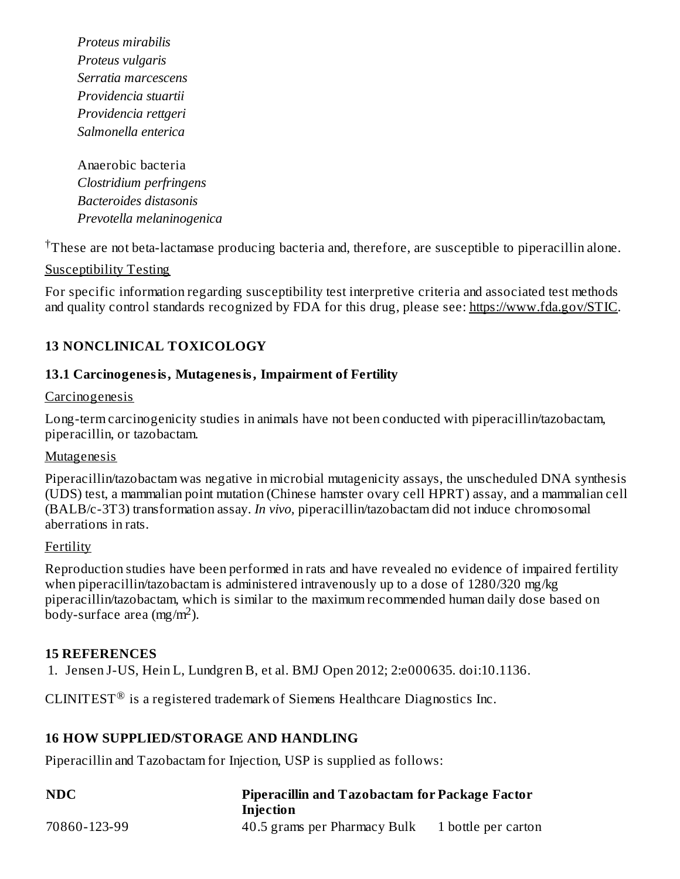*Proteus mirabilis Proteus vulgaris Serratia marcescens Providencia stuartii Providencia rettgeri Salmonella enterica*

Anaerobic bacteria *Clostridium perfringens Bacteroides distasonis Prevotella melaninogenica*

 $\dagger$ These are not beta-lactamase producing bacteria and, therefore, are susceptible to piperacillin alone.

#### Susceptibility Testing

For specific information regarding susceptibility test interpretive criteria and associated test methods and quality control standards recognized by FDA for this drug, please see: https://www.fda.gov/STIC.

### **13 NONCLINICAL TOXICOLOGY**

#### **13.1 Carcinogenesis, Mutagenesis, Impairment of Fertility**

#### **Carcinogenesis**

Long-term carcinogenicity studies in animals have not been conducted with piperacillin/tazobactam, piperacillin, or tazobactam.

#### **Mutagenesis**

Piperacillin/tazobactam was negative in microbial mutagenicity assays, the unscheduled DNA synthesis (UDS) test, a mammalian point mutation (Chinese hamster ovary cell HPRT) assay, and a mammalian cell (BALB/c-3T3) transformation assay. *In vivo,* piperacillin/tazobactam did not induce chromosomal aberrations in rats.

#### Fertility

Reproduction studies have been performed in rats and have revealed no evidence of impaired fertility when piperacillin/tazobactam is administered intravenously up to a dose of 1280/320 mg/kg piperacillin/tazobactam, which is similar to the maximum recommended human daily dose based on  $\overline{\text{body}}$ -surface area (mg/m<sup>2</sup>).

#### **15 REFERENCES**

1. Jensen J-US, Hein L, Lundgren B, et al. BMJ Open 2012; 2:e000635. doi:10.1136.

CLINITEST<sup>®</sup> is a registered trademark of Siemens Healthcare Diagnostics Inc.

#### **16 HOW SUPPLIED/STORAGE AND HANDLING**

Piperacillin and Tazobactam for Injection, USP is supplied as follows:

| <b>NDC</b>   | <b>Piperacillin and Tazobactam for Package Factor</b> |                     |  |  |  |
|--------------|-------------------------------------------------------|---------------------|--|--|--|
|              | Injection                                             |                     |  |  |  |
| 70860-123-99 | 40.5 grams per Pharmacy Bulk                          | 1 bottle per carton |  |  |  |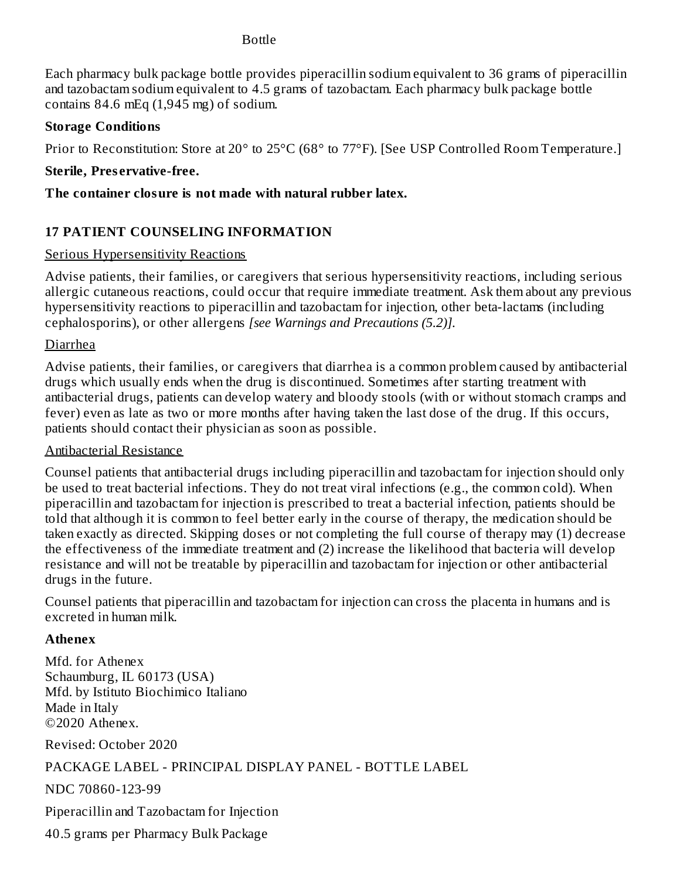#### Bottle

Each pharmacy bulk package bottle provides piperacillin sodium equivalent to 36 grams of piperacillin and tazobactam sodium equivalent to 4.5 grams of tazobactam. Each pharmacy bulk package bottle contains  $84.6$  mEq  $(1,945 \text{ mg})$  of sodium.

### **Storage Conditions**

Prior to Reconstitution: Store at 20° to 25°C (68° to 77°F). [See USP Controlled Room Temperature.]

### **Sterile, Pres ervative-free.**

### **The container closure is not made with natural rubber latex.**

# **17 PATIENT COUNSELING INFORMATION**

### Serious Hypersensitivity Reactions

Advise patients, their families, or caregivers that serious hypersensitivity reactions, including serious allergic cutaneous reactions, could occur that require immediate treatment. Ask them about any previous hypersensitivity reactions to piperacillin and tazobactam for injection, other beta-lactams (including cephalosporins), or other allergens *[see Warnings and Precautions (5.2)].*

### Diarrhea

Advise patients, their families, or caregivers that diarrhea is a common problem caused by antibacterial drugs which usually ends when the drug is discontinued. Sometimes after starting treatment with antibacterial drugs, patients can develop watery and bloody stools (with or without stomach cramps and fever) even as late as two or more months after having taken the last dose of the drug. If this occurs, patients should contact their physician as soon as possible.

### Antibacterial Resistance

Counsel patients that antibacterial drugs including piperacillin and tazobactam for injection should only be used to treat bacterial infections. They do not treat viral infections (e.g., the common cold). When piperacillin and tazobactam for injection is prescribed to treat a bacterial infection, patients should be told that although it is common to feel better early in the course of therapy, the medication should be taken exactly as directed. Skipping doses or not completing the full course of therapy may (1) decrease the effectiveness of the immediate treatment and (2) increase the likelihood that bacteria will develop resistance and will not be treatable by piperacillin and tazobactam for injection or other antibacterial drugs in the future.

Counsel patients that piperacillin and tazobactam for injection can cross the placenta in humans and is excreted in human milk.

# **Athenex**

Mfd. for Athenex Schaumburg, IL 60173 (USA) Mfd. by Istituto Biochimico Italiano Made in Italy ©2020 Athenex.

Revised: October 2020

# PACKAGE LABEL - PRINCIPAL DISPLAY PANEL - BOTTLE LABEL

NDC 70860-123-99

Piperacillin and Tazobactam for Injection

40.5 grams per Pharmacy Bulk Package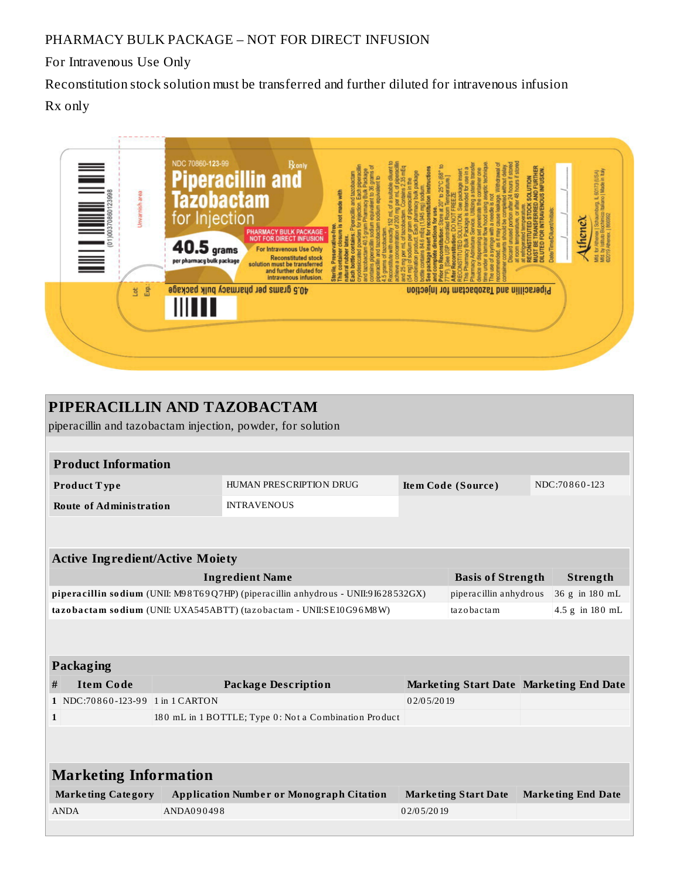# PHARMACY BULK PACKAGE – NOT FOR DIRECT INFUSION

For Intravenous Use Only

Reconstitution stock solution must be transferred and further diluted for intravenous infusion Rx only



| PIPERACILLIN AND TAZOBACTAM                                                       |                                  |            |                                                       |                                         |                             |                 |                           |  |  |  |
|-----------------------------------------------------------------------------------|----------------------------------|------------|-------------------------------------------------------|-----------------------------------------|-----------------------------|-----------------|---------------------------|--|--|--|
| piperacillin and tazobactam injection, powder, for solution                       |                                  |            |                                                       |                                         |                             |                 |                           |  |  |  |
|                                                                                   |                                  |            |                                                       |                                         |                             |                 |                           |  |  |  |
| <b>Product Information</b>                                                        |                                  |            |                                                       |                                         |                             |                 |                           |  |  |  |
|                                                                                   | Product Type                     |            | HUMAN PRESCRIPTION DRUG                               | Item Code (Source)                      |                             | NDC:70860-123   |                           |  |  |  |
|                                                                                   | <b>Route of Administration</b>   |            | <b>INTRAVENOUS</b>                                    |                                         |                             |                 |                           |  |  |  |
|                                                                                   |                                  |            |                                                       |                                         |                             |                 |                           |  |  |  |
|                                                                                   |                                  |            |                                                       |                                         |                             |                 |                           |  |  |  |
| <b>Active Ingredient/Active Moiety</b>                                            |                                  |            |                                                       |                                         |                             |                 |                           |  |  |  |
| <b>Ingredient Name</b>                                                            |                                  |            | <b>Basis of Strength</b>                              |                                         |                             | Strength        |                           |  |  |  |
| piperacillin sodium (UNII: M98T69Q7HP) (piperacillin anhydrous - UNII:9I628532GX) |                                  |            | piperacillin anhydrous                                |                                         |                             | 36 g in 180 mL  |                           |  |  |  |
| tazobactam sodium (UNII: UXA545ABTT) (tazobactam - UNII:SE10G96M8W)               |                                  |            | tazobactam                                            |                                         |                             | 4.5 g in 180 mL |                           |  |  |  |
|                                                                                   |                                  |            |                                                       |                                         |                             |                 |                           |  |  |  |
|                                                                                   |                                  |            |                                                       |                                         |                             |                 |                           |  |  |  |
| Packaging                                                                         |                                  |            |                                                       |                                         |                             |                 |                           |  |  |  |
| #                                                                                 | <b>Item Code</b>                 |            | <b>Package Description</b>                            | Marketing Start Date Marketing End Date |                             |                 |                           |  |  |  |
|                                                                                   | 1 NDC:70860-123-99 1 in 1 CARTON |            |                                                       | 02/05/2019                              |                             |                 |                           |  |  |  |
| $\mathbf{1}$                                                                      |                                  |            | 180 mL in 1 BOTTLE; Type 0: Not a Combination Product |                                         |                             |                 |                           |  |  |  |
|                                                                                   |                                  |            |                                                       |                                         |                             |                 |                           |  |  |  |
|                                                                                   |                                  |            |                                                       |                                         |                             |                 |                           |  |  |  |
| <b>Marketing Information</b>                                                      |                                  |            |                                                       |                                         |                             |                 |                           |  |  |  |
|                                                                                   | <b>Marketing Category</b>        |            | <b>Application Number or Monograph Citation</b>       |                                         | <b>Marketing Start Date</b> |                 | <b>Marketing End Date</b> |  |  |  |
|                                                                                   | <b>ANDA</b>                      | ANDA090498 |                                                       | 02/05/2019                              |                             |                 |                           |  |  |  |
|                                                                                   |                                  |            |                                                       |                                         |                             |                 |                           |  |  |  |